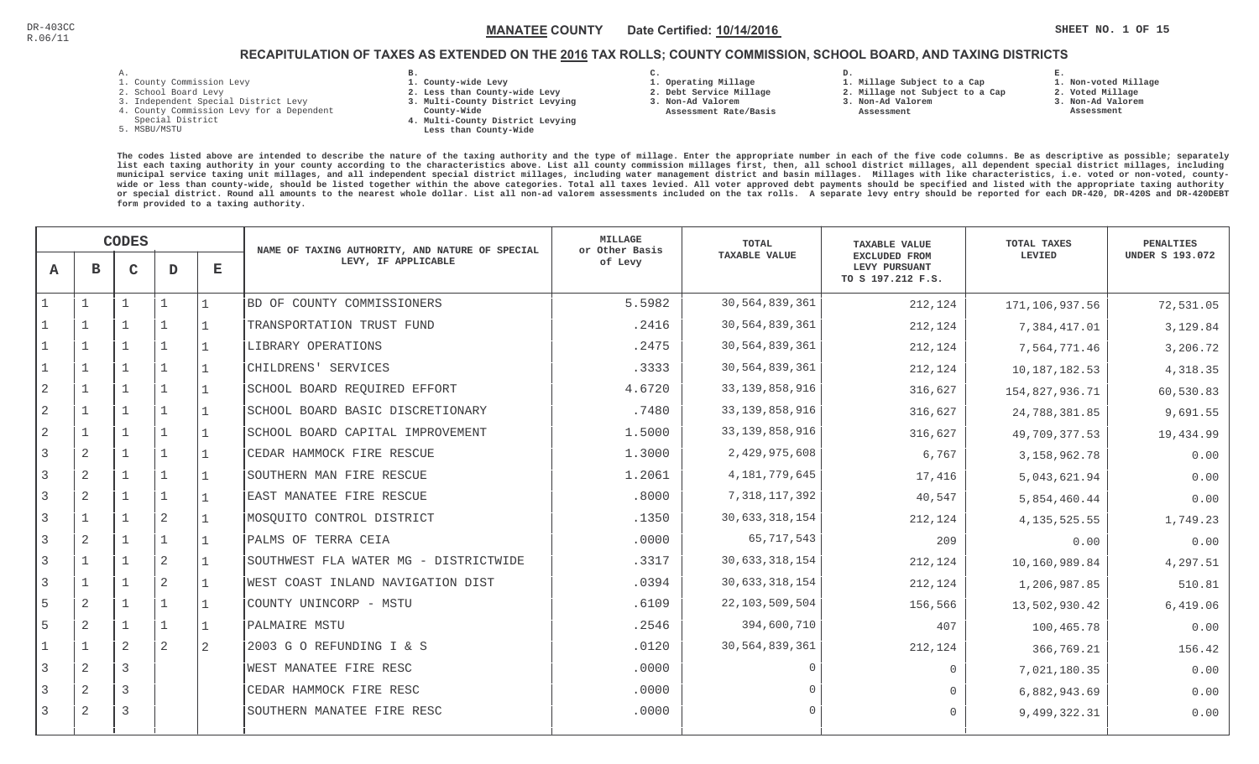**1. Non-voted Millage**

# RECAPITULATION OF TAXES AS EXTENDED ON THE <u>2016</u> TAX ROLLS; COUNTY COMMISSION, SCHOOL BOARD, AND TAXING DISTRICTS

- 1. County Commission Levy
- 2. School Board Levy
- 3. Independent Special District Levy
- 4. County Commission Levy for a Dependent
- Special District
- 5. MSBU/MSTU
- **B. 1. County-wide Levy**
- **2. Less than County-wide Levy**
- **3. Multi-County District Levying**
- **County-Wide** 
	- **4. Multi-County District Levying Less than County-Wide**

**C.** 

**3. Non-Ad Valorem Assessment Rate/Basis**

- **1. Operating Millage 2. Debt Service Millage**
- **D. 1. Millage Subject to a Cap**
	- **2. Millage not Subject to a Cap3. Non-Ad Valorem**
		- **Assessment** 
			-
- **E.2. Voted Millage 3. Non-Ad Valorem**
	- **Assessment**
- **The codes listed above are intended to describe the nature of the taxing authority and the type of millage. Enter the appropriate number in each of the five code columns. Be as descriptive as possible; separately list each taxing authority in your county according to the characteristics above. List all county commission millages first, then, all school district millages, all dependent special district millages, including municipal service taxing unit millages, and all independent special district millages, including water management district and basin millages. Millages with like characteristics, i.e. voted or non-voted, countywide or less than county-wide, should be listed together within the above categories. Total all taxes levied. All voter approved debt payments should be specified and listed with the appropriate taxing authority or special district. Round all amounts to the nearest whole dollar. List all non-ad valorem assessments included on the tax rolls. A separate levy entry should be reported for each DR-420, DR-420S and DR-420DEBTform provided to a taxing authority.**

|                |                | <b>CODES</b> |                |                | NAME OF TAXING AUTHORITY, AND NATURE OF SPECIAL | MILLAGE<br>or Other Basis | <b>TOTAL</b>         | <b>TAXABLE VALUE</b>                                | <b>TOTAL TAXES</b> | <b>PENALTIES</b>       |
|----------------|----------------|--------------|----------------|----------------|-------------------------------------------------|---------------------------|----------------------|-----------------------------------------------------|--------------------|------------------------|
| A              | $\mathbf B$    | $\mathsf{C}$ | D              | E              | LEVY, IF APPLICABLE                             | of Levy                   | <b>TAXABLE VALUE</b> | EXCLUDED FROM<br>LEVY PURSUANT<br>TO S 197.212 F.S. | LEVIED             | <b>UNDER S 193.072</b> |
|                | $\mathbf{1}$   |              |                |                | BD OF COUNTY COMMISSIONERS                      | 5.5982                    | 30,564,839,361       | 212,124                                             | 171,106,937.56     | 72,531.05              |
|                | $\mathbf{1}$   |              |                |                | TRANSPORTATION TRUST FUND                       | .2416                     | 30,564,839,361       | 212,124                                             | 7,384,417.01       | 3,129.84               |
|                |                |              |                |                | LIBRARY OPERATIONS                              | .2475                     | 30,564,839,361       | 212,124                                             | 7,564,771.46       | 3,206.72               |
|                | $\mathbf{1}$   |              | $\mathbf{1}$   |                | CHILDRENS' SERVICES                             | .3333                     | 30,564,839,361       | 212,124                                             | 10, 187, 182.53    | 4,318.35               |
| $\overline{2}$ | $\mathbf{1}$   |              | $\mathbf{1}$   |                | SCHOOL BOARD REQUIRED EFFORT                    | 4.6720                    | 33, 139, 858, 916    | 316,627                                             | 154,827,936.71     | 60,530.83              |
| 2              | $\mathbf{1}$   |              | $\mathbf 1$    |                | SCHOOL BOARD BASIC DISCRETIONARY                | .7480                     | 33, 139, 858, 916    | 316,627                                             | 24,788,381.85      | 9,691.55               |
|                | $\mathbf{1}$   |              |                |                | SCHOOL BOARD CAPITAL IMPROVEMENT                | 1.5000                    | 33, 139, 858, 916    | 316,627                                             | 49,709,377.53      | 19,434.99              |
| 3              | $\overline{2}$ |              | $\mathbf{1}$   |                | CEDAR HAMMOCK FIRE RESCUE                       | 1.3000                    | 2,429,975,608        | 6,767                                               | 3, 158, 962. 78    | 0.00                   |
|                | 2              |              |                |                | SOUTHERN MAN FIRE RESCUE                        | 1.2061                    | 4,181,779,645        | 17,416                                              | 5,043,621.94       | 0.00                   |
| 3              | 2              |              | $\mathbf{1}$   |                | EAST MANATEE FIRE RESCUE                        | .8000                     | 7,318,117,392        | 40,547                                              | 5,854,460.44       | 0.00                   |
| 3              | $\mathbf{1}$   |              | 2              |                | MOSOUITO CONTROL DISTRICT                       | .1350                     | 30,633,318,154       | 212,124                                             | 4, 135, 525.55     | 1,749.23               |
| 3              | 2              |              | $\mathbf 1$    |                | PALMS OF TERRA CEIA                             | .0000                     | 65,717,543           | 209                                                 | 0.00               | 0.00                   |
|                | $\mathbf{1}$   |              | $\sqrt{2}$     |                | SOUTHWEST FLA WATER MG - DISTRICTWIDE           | .3317                     | 30, 633, 318, 154    | 212,124                                             | 10,160,989.84      | 4,297.51               |
| 3              | $\mathbf{1}$   |              | $\overline{2}$ |                | WEST COAST INLAND NAVIGATION DIST               | .0394                     | 30,633,318,154       | 212,124                                             | 1,206,987.85       | 510.81                 |
| 5              | $\overline{2}$ |              |                |                | COUNTY UNINCORP - MSTU                          | .6109                     | 22,103,509,504       | 156,566                                             | 13,502,930.42      | 6,419.06               |
| 5              | 2              |              |                |                | PALMAIRE MSTU                                   | .2546                     | 394,600,710          | 407                                                 | 100,465.78         | 0.00                   |
|                | $\mathbf{1}$   | 2            | $\mathbf{2}$   | $\overline{2}$ | 2003 G O REFUNDING I & S                        | .0120                     | 30,564,839,361       | 212,124                                             | 366,769.21         | 156.42                 |
| 3              | $\overline{2}$ | 3            |                |                | WEST MANATEE FIRE RESC                          | .0000                     | $\Omega$             | $\Omega$                                            | 7,021,180.35       | 0.00                   |
|                | $\overline{2}$ | 3            |                |                | CEDAR HAMMOCK FIRE RESC                         | .0000                     | $\bigcap$            | $\bigcap$                                           | 6,882,943.69       | 0.00                   |
| 3              | 2              | 3            |                |                | SOUTHERN MANATEE FIRE RESC                      | .0000                     | $\cap$               | $\bigcap$                                           | 9,499,322.31       | 0.00                   |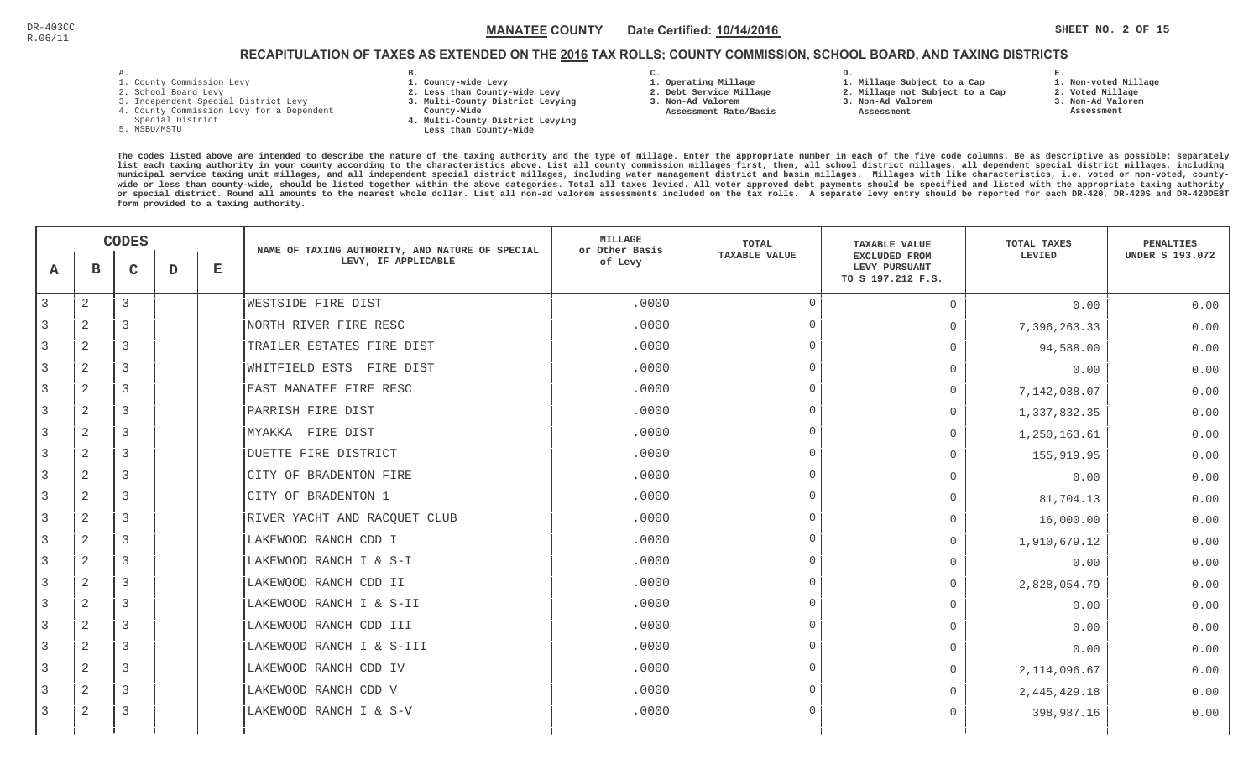# RECAPITULATION OF TAXES AS EXTENDED ON THE <u>2016</u> TAX ROLLS; COUNTY COMMISSION, SCHOOL BOARD, AND TAXING DISTRICTS

- 1. County Commission Levy
- 2. School Board Levy
- 3. Independent Special District Levy
- 4. County Commission Levy for a Dependent
- Special District
- 5. MSBU/MSTU
- **B. 1. County-wide Levy**
- **2. Less than County-wide Levy**
- **3. Multi-County District Levying**
- **County-Wide** 
	- **4. Multi-County District Levying Less than County-Wide**

**C.** 

**3. Non-Ad Valorem Assessment Rate/Basis**

- **1. Operating Millage**
- **2. Debt Service Millage** 
	- **2. Millage not Subject to a Cap3. Non-Ad Valorem**

**D.** 

 **Assessment** 

**1. Millage Subject to a Cap**

- **E. 1. Non-voted Millage2. Voted Millage**
- **3. Non-Ad Valorem**
- **Assessment**

|                |                | <b>CODES</b> |   |   | NAME OF TAXING AUTHORITY, AND NATURE OF SPECIAL | <b>MILLAGE</b><br>or Other Basis | TOTAL                | <b>TAXABLE VALUE</b>                                | <b>TOTAL TAXES</b> | <b>PENALTIES</b>       |
|----------------|----------------|--------------|---|---|-------------------------------------------------|----------------------------------|----------------------|-----------------------------------------------------|--------------------|------------------------|
| A              | в              | $\mathbf C$  | D | Е | LEVY, IF APPLICABLE                             | of Levy                          | <b>TAXABLE VALUE</b> | EXCLUDED FROM<br>LEVY PURSUANT<br>TO S 197.212 F.S. | LEVIED             | <b>UNDER S 193.072</b> |
| 3              | $\overline{a}$ | 3            |   |   | WESTSIDE FIRE DIST                              | .0000                            | $\overline{0}$       | $\Omega$                                            | 0.00               | 0.00                   |
|                | 2              | 3            |   |   | NORTH RIVER FIRE RESC                           | .0000                            | $\Omega$             | $\Omega$                                            | 7,396,263.33       | 0.00                   |
| 3              | 2              | 3            |   |   | TRAILER ESTATES FIRE DIST                       | .0000                            | $\Omega$             | $\Omega$                                            | 94,588.00          | 0.00                   |
| 3              | 2              | 3            |   |   | WHITFIELD ESTS FIRE DIST                        | .0000                            | $\Omega$             | $\Omega$                                            | 0.00               | 0.00                   |
| 3              | 2              | 3            |   |   | EAST MANATEE FIRE RESC                          | .0000                            | $\Omega$             | $\Omega$                                            | 7,142,038.07       | 0.00                   |
| 3              | 2              | 3            |   |   | PARRISH FIRE DIST                               | .0000                            | $\Omega$             | $\Omega$                                            | 1,337,832.35       | 0.00                   |
|                | $\overline{a}$ | 3            |   |   | MYAKKA FIRE DIST                                | .0000                            | $\Omega$             | $\Omega$                                            | 1,250,163.61       | 0.00                   |
| 3              | $\overline{2}$ | 3            |   |   | DUETTE FIRE DISTRICT                            | .0000                            | $\Omega$             | $\Omega$                                            | 155,919.95         | 0.00                   |
|                | 2              | 3            |   |   | CITY OF BRADENTON FIRE                          | .0000                            | $\Omega$             | $\overline{0}$                                      | 0.00               | 0.00                   |
| $\overline{3}$ | 2              | 3            |   |   | CITY OF BRADENTON 1                             | .0000                            | $\Omega$             | $\Omega$                                            | 81,704.13          | 0.00                   |
| 3              | $\mathbf{2}$   | 3            |   |   | RIVER YACHT AND RACQUET CLUB                    | .0000                            | $\Omega$             | $\Omega$                                            | 16,000.00          | 0.00                   |
| 3              | $\mathbf{2}$   | 3            |   |   | LAKEWOOD RANCH CDD I                            | .0000                            | $\Omega$             | 0                                                   | 1,910,679.12       | 0.00                   |
|                | 2              | 3            |   |   | LAKEWOOD RANCH I & S-I                          | .0000                            | $\Omega$             | $\Omega$                                            | 0.00               | 0.00                   |
|                | 2              | 3            |   |   | LAKEWOOD RANCH CDD II                           | .0000                            | $\Omega$             | $\Omega$                                            | 2,828,054.79       | 0.00                   |
| 3              | $\overline{2}$ | 3            |   |   | LAKEWOOD RANCH I & S-II                         | .0000                            | $\Omega$             | $\Omega$                                            | 0.00               | 0.00                   |
|                | 2              | 3            |   |   | LAKEWOOD RANCH CDD III                          | .0000                            | $\Omega$             | $\Omega$                                            | 0.00               | 0.00                   |
|                | 2              | 3            |   |   | LAKEWOOD RANCH I & S-III                        | .0000                            | $\cap$               | $\Omega$                                            | 0.00               | 0.00                   |
| 3              | $\mathbf{2}$   | 3            |   |   | LAKEWOOD RANCH CDD IV                           | .0000                            | $\Omega$             | $\circ$                                             | 2, 114, 096.67     | 0.00                   |
| 3              | 2              | 3            |   |   | LAKEWOOD RANCH CDD V                            | .0000                            | $\Omega$             | $\Omega$                                            | 2, 445, 429. 18    | 0.00                   |
| 3              | 2              | 3            |   |   | LAKEWOOD RANCH I & S-V                          | .0000                            | $\Omega$             | $\Omega$                                            | 398,987.16         | 0.00                   |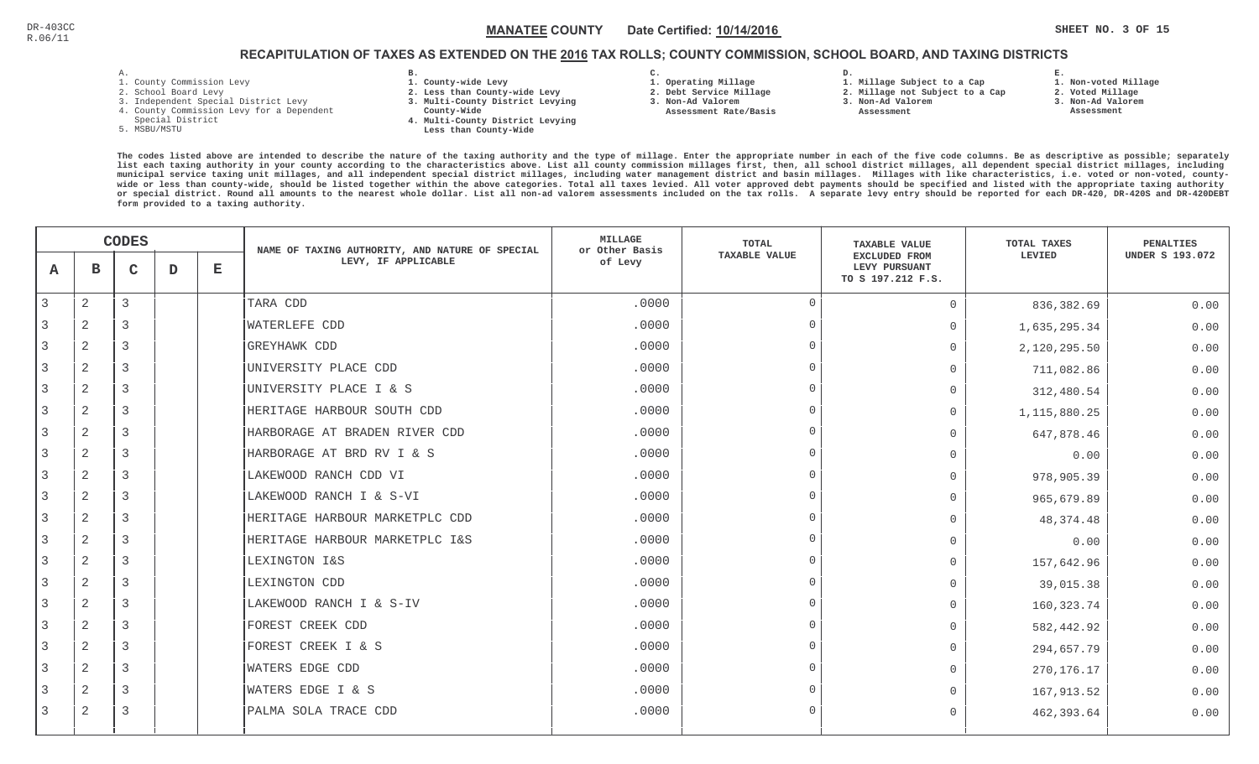**1. Non-voted Millage**

# RECAPITULATION OF TAXES AS EXTENDED ON THE <u>2016</u> TAX ROLLS; COUNTY COMMISSION, SCHOOL BOARD, AND TAXING DISTRICTS

- 1. County Commission Levy
- 2. School Board Levy
- 3. Independent Special District Levy
- 4. County Commission Levy for a Dependent
- Special District
- 5. MSBU/MSTU
- **B. 1. County-wide Levy**
- **2. Less than County-wide Levy**
- **3. Multi-County District Levying**
- **County-Wide** 
	- **4. Multi-County District Levying Less than County-Wide**

**C.** 

**3. Non-Ad Valorem Assessment Rate/Basis**

- **1. Operating Millage 2. Debt Service Millage**
- **1. Millage Subject to a Cap**

**D.** 

- **2. Millage not Subject to a Cap3. Non-Ad Valorem**
	- **Assessment**
- 
- **2. Voted Millage3. Non-Ad Valorem**

**E.**

 **Assessment**

|   | <b>CODES</b> |              |   | NAME OF TAXING AUTHORITY, AND NATURE OF SPECIAL | <b>MILLAGE</b><br>or Other Basis | TOTAL   | <b>TAXABLE VALUE</b> | TOTAL TAXES                                                | PENALTIES    |                        |
|---|--------------|--------------|---|-------------------------------------------------|----------------------------------|---------|----------------------|------------------------------------------------------------|--------------|------------------------|
| A | в            | $\mathbf{C}$ | D | $\mathbf E$                                     | LEVY, IF APPLICABLE              | of Levy | <b>TAXABLE VALUE</b> | <b>EXCLUDED FROM</b><br>LEVY PURSUANT<br>TO S 197.212 F.S. | LEVIED       | <b>UNDER S 193.072</b> |
| 3 | $\mathbf{2}$ | 3            |   |                                                 | TARA CDD                         | .0000   | $\Omega$             | $\Omega$                                                   | 836,382.69   | 0.00                   |
|   | 2            | 3            |   |                                                 | <b>WATERLEFE CDD</b>             | .0000   | $\Omega$             | $\Omega$                                                   | 1,635,295.34 | 0.00                   |
|   | 2            | 3            |   |                                                 | <b>GREYHAWK CDD</b>              | .0000   | $\Omega$             | $\Omega$                                                   | 2,120,295.50 | 0.00                   |
| 3 | 2            | 3            |   |                                                 | UNIVERSITY PLACE CDD             | .0000   | $\Omega$             | $\Omega$                                                   | 711,082.86   | 0.00                   |
| 3 | 2            | 3            |   |                                                 | UNIVERSITY PLACE I & S           | .0000   | $\Omega$             | $\Omega$                                                   | 312,480.54   | 0.00                   |
| 3 | 2            | 3            |   |                                                 | HERITAGE HARBOUR SOUTH CDD       | .0000   | $\Omega$             | $\Omega$                                                   | 1,115,880.25 | 0.00                   |
| 3 | $\mathbf{2}$ | 3            |   |                                                 | HARBORAGE AT BRADEN RIVER CDD    | .0000   | $\Omega$             | $\Omega$                                                   | 647,878.46   | 0.00                   |
|   | 2            | 3            |   |                                                 | HARBORAGE AT BRD RV I & S        | .0000   | $\cap$               | $\Omega$                                                   | 0.00         | 0.00                   |
|   | 2            | 3            |   |                                                 | LAKEWOOD RANCH CDD VI            | .0000   | $\cap$               | $\Omega$                                                   | 978,905.39   | 0.00                   |
|   | 2            | 3            |   |                                                 | LAKEWOOD RANCH I & S-VI          | .0000   | $\Omega$             | $\Omega$                                                   | 965,679.89   | 0.00                   |
| 3 | 2            | 3            |   |                                                 | HERITAGE HARBOUR MARKETPLC CDD   | .0000   | $\Omega$             | $\Omega$                                                   | 48, 374. 48  | 0.00                   |
| 3 | 2            | 3            |   |                                                 | HERITAGE HARBOUR MARKETPLC I&S   | .0000   | $\Omega$             | $\Omega$                                                   | 0.00         | 0.00                   |
|   | 2            | 3            |   |                                                 | LEXINGTON I&S                    | .0000   | $\Omega$             | $\Omega$                                                   | 157,642.96   | 0.00                   |
|   | 2            | 3            |   |                                                 | LEXINGTON CDD                    | .0000   | $\Omega$             | $\Omega$                                                   | 39,015.38    | 0.00                   |
| 3 | $\mathbf{2}$ | 3            |   |                                                 | LAKEWOOD RANCH I & S-IV          | .0000   | $\cap$               | $\Omega$                                                   | 160, 323. 74 | 0.00                   |
|   | 2            | 3            |   |                                                 | FOREST CREEK CDD                 | .0000   | $\Omega$             | $\Omega$                                                   | 582,442.92   | 0.00                   |
| 3 | $\mathbf{2}$ | 3            |   |                                                 | FOREST CREEK I & S               | .0000   | $\Omega$             | $\Omega$                                                   | 294,657.79   | 0.00                   |
| 3 | 2            | 3            |   |                                                 | <b>WATERS EDGE CDD</b>           | .0000   | $\Omega$             | $\Omega$                                                   | 270, 176. 17 | 0.00                   |
| 3 | 2            | 3            |   |                                                 | WATERS EDGE I & S                | .0000   | $\Omega$             | $\Omega$                                                   | 167,913.52   | 0.00                   |
| 3 | 2            | 3            |   |                                                 | PALMA SOLA TRACE CDD             | .0000   | $\Omega$             | $\Omega$                                                   | 462,393.64   | 0.00                   |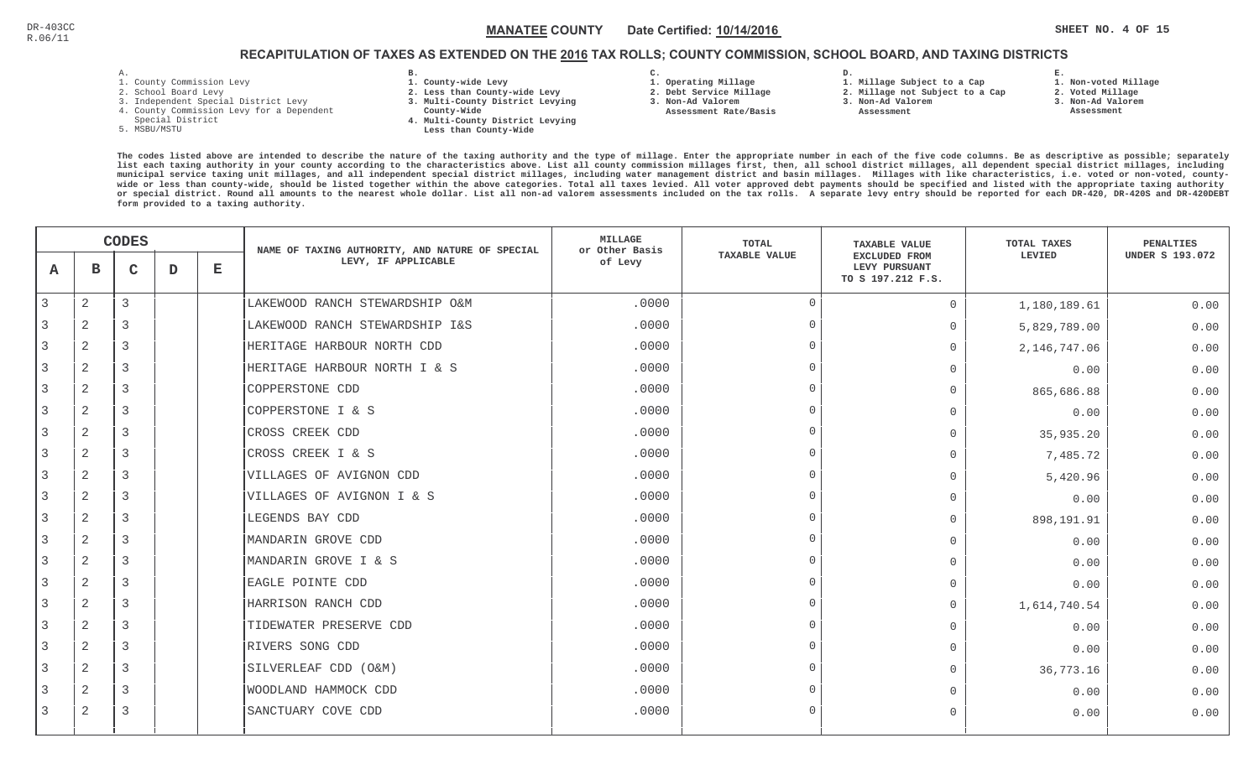**1. Non-voted Millage**

# RECAPITULATION OF TAXES AS EXTENDED ON THE <u>2016</u> TAX ROLLS; COUNTY COMMISSION, SCHOOL BOARD, AND TAXING DISTRICTS

- 1. County Commission Levy
- 2. School Board Levy
- 3. Independent Special District Levy
- 4. County Commission Levy for a Dependent
- Special District
- 5. MSBU/MSTU
- **B. 1. County-wide Levy**
- **2. Less than County-wide Levy**
- **3. Multi-County District Levying**
- **County-Wide** 
	- **4. Multi-County District Levying Less than County-Wide**

**C.** 

**3. Non-Ad Valorem Assessment Rate/Basis**

- **1. Operating Millage 2. Debt Service Millage**
- **1. Millage Subject to a Cap**

**D.** 

- **2. Millage not Subject to a Cap3. Non-Ad Valorem**
	- **Assessment**
- 
- **2. Voted Millage 3. Non-Ad Valorem Assessment**

**E.**

|   | <b>CODES</b>   |   |   | NAME OF TAXING AUTHORITY, AND NATURE OF SPECIAL | <b>MILLAGE</b><br>or Other Basis | <b>TOTAL</b> | <b>TAXABLE VALUE</b> | TOTAL TAXES                                                | <b>PENALTIES</b> |                        |
|---|----------------|---|---|-------------------------------------------------|----------------------------------|--------------|----------------------|------------------------------------------------------------|------------------|------------------------|
| A | в              | C | D | $\mathbf E$                                     | LEVY, IF APPLICABLE              | of Levy      | TAXABLE VALUE        | <b>EXCLUDED FROM</b><br>LEVY PURSUANT<br>TO S 197.212 F.S. | LEVIED           | <b>UNDER S 193.072</b> |
| 3 | $\mathbf{2}$   | 3 |   |                                                 | LAKEWOOD RANCH STEWARDSHIP O&M   | .0000        | $\Omega$             | $\overline{0}$                                             | 1,180,189.61     | 0.00                   |
|   | 2              | 3 |   |                                                 | LAKEWOOD RANCH STEWARDSHIP I&S   | .0000        | $\Omega$             | $\Omega$                                                   | 5,829,789.00     | 0.00                   |
| 3 | 2              | 3 |   |                                                 | HERITAGE HARBOUR NORTH CDD       | .0000        | $\cap$               | $\mathbf 0$                                                | 2, 146, 747.06   | 0.00                   |
| 3 | 2              | 3 |   |                                                 | HERITAGE HARBOUR NORTH I & S     | .0000        | $\Omega$             | $\bigcap$                                                  | 0.00             | 0.00                   |
| 3 | 2              | 3 |   |                                                 | COPPERSTONE CDD                  | .0000        | $\Omega$             | $\mathbf 0$                                                | 865,686.88       | 0.00                   |
|   | 2              | 3 |   |                                                 | COPPERSTONE I & S                | .0000        | $\cap$               | $\bigcap$                                                  | 0.00             | 0.00                   |
|   | 2              | 3 |   |                                                 | CROSS CREEK CDD                  | .0000        | $\cap$               | $\Omega$                                                   | 35,935.20        | 0.00                   |
| 3 | $\overline{2}$ | 3 |   |                                                 | CROSS CREEK I & S                | .0000        | $\cap$               | $\Omega$                                                   | 7,485.72         | 0.00                   |
|   | 2              | 3 |   |                                                 | VILLAGES OF AVIGNON CDD          | .0000        | $\cap$               | $\overline{0}$                                             | 5,420.96         | 0.00                   |
| 3 | $\mathbf{2}$   | 3 |   |                                                 | VILLAGES OF AVIGNON I & S        | .0000        | $\Omega$             | $\Omega$                                                   | 0.00             | 0.00                   |
| 3 | $\mathbf{2}$   | 3 |   |                                                 | LEGENDS BAY CDD                  | .0000        | $\cap$               | $\mathbf 0$                                                | 898,191.91       | 0.00                   |
|   | $\mathbf{2}$   | 3 |   |                                                 | MANDARIN GROVE CDD               | .0000        | $\Omega$             | $\Omega$                                                   | 0.00             | 0.00                   |
| 3 | $\mathbf{2}$   | 3 |   |                                                 | MANDARIN GROVE I & S             | .0000        | $\cap$               | $\bigcap$                                                  | 0.00             | 0.00                   |
|   | 2              | 3 |   |                                                 | EAGLE POINTE CDD                 | .0000        | $\cap$               | $\Omega$                                                   | 0.00             | 0.00                   |
| 3 | 2              | 3 |   |                                                 | HARRISON RANCH CDD               | .0000        | $\cap$               | $\overline{0}$                                             | 1,614,740.54     | 0.00                   |
|   | 2              | 3 |   |                                                 | TIDEWATER PRESERVE CDD           | .0000        | $\cap$               | $\Omega$                                                   | 0.00             | 0.00                   |
| 3 | 2              | 3 |   |                                                 | RIVERS SONG CDD                  | .0000        | $\cap$               | $\Omega$                                                   | 0.00             | 0.00                   |
| 3 | 2              | 3 |   |                                                 | SILVERLEAF CDD (O&M)             | .0000        | $\cap$               | $\overline{0}$                                             | 36,773.16        | 0.00                   |
|   | 2              | 3 |   |                                                 | WOODLAND HAMMOCK CDD             | .0000        | $\Omega$             | $\bigcap$                                                  | 0.00             | 0.00                   |
| 3 | 2              | 3 |   |                                                 | SANCTUARY COVE CDD               | .0000        | $\cap$               | $\Omega$                                                   | 0.00             | 0.00                   |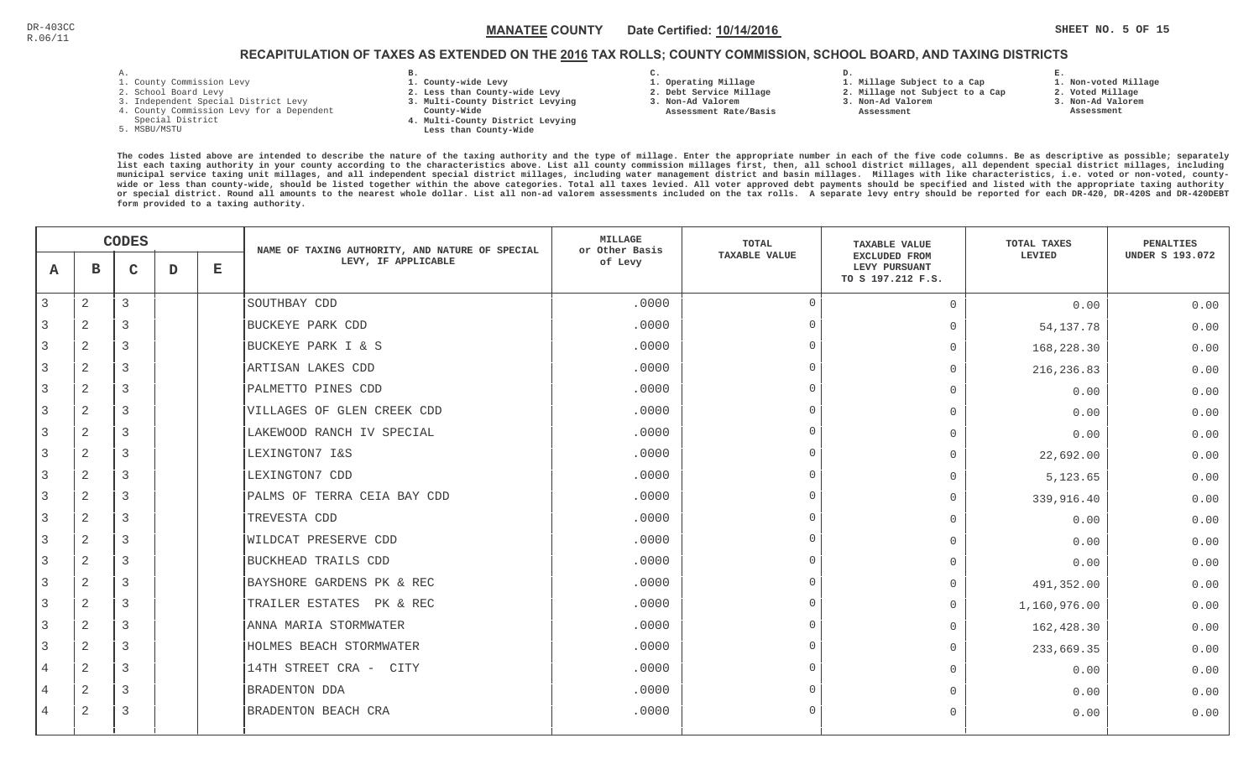**1. Non-voted Millage**

# RECAPITULATION OF TAXES AS EXTENDED ON THE <u>2016</u> TAX ROLLS; COUNTY COMMISSION, SCHOOL BOARD, AND TAXING DISTRICTS

- 1. County Commission Levy
- 2. School Board Levy
- 3. Independent Special District Levy
- 4. County Commission Levy for a Dependent
- Special District
- 5. MSBU/MSTU
- **B. 1. County-wide Levy**
- **2. Less than County-wide Levy**
- **3. Multi-County District Levying**
- **County-Wide** 
	- **4. Multi-County District Levying Less than County-Wide**
- **C.**
- **1. Operating Millage**
- **2. Debt Service Millage 3. Non-Ad Valorem**
- **Assessment Rate/Basis**
- **2. Millage not Subject to a Cap3. Non-Ad Valorem**

**D.** 

 **Assessment** 

**1. Millage Subject to a Cap**

- 
- **2. Voted Millage3. Non-Ad Valorem**

**E.**

 **Assessment**

|   | <b>CODES</b>   |             |   | NAME OF TAXING AUTHORITY, AND NATURE OF SPECIAL | <b>MILLAGE</b><br>or Other Basis | <b>TOTAL</b> | <b>TAXABLE VALUE</b> | TOTAL TAXES                                         | <b>PENALTIES</b> |                        |
|---|----------------|-------------|---|-------------------------------------------------|----------------------------------|--------------|----------------------|-----------------------------------------------------|------------------|------------------------|
| A | $\mathbf{B}$   | $\mathbf C$ | D | Е                                               | LEVY, IF APPLICABLE              | of Levy      | <b>TAXABLE VALUE</b> | EXCLUDED FROM<br>LEVY PURSUANT<br>TO S 197.212 F.S. | LEVIED           | <b>UNDER S 193.072</b> |
| 3 | $\mathbf{2}$   | 3           |   |                                                 | SOUTHBAY CDD                     | .0000        | $\Omega$             | $\overline{0}$                                      | 0.00             | 0.00                   |
|   | 2              | 3           |   |                                                 | BUCKEYE PARK CDD                 | .0000        | $\overline{0}$       | $\Omega$                                            | 54, 137. 78      | 0.00                   |
| 3 | 2              | 3           |   |                                                 | BUCKEYE PARK I & S               | .0000        | $\cap$               | $\Omega$                                            | 168,228.30       | 0.00                   |
| 3 | $\overline{2}$ | 3           |   |                                                 | ARTISAN LAKES CDD                | .0000        | $\overline{0}$       | $\Omega$                                            | 216, 236.83      | 0.00                   |
| 3 | $\overline{2}$ | 3           |   |                                                 | PALMETTO PINES CDD               | .0000        | $\Omega$             | $\Omega$                                            | 0.00             | 0.00                   |
|   | $\overline{2}$ | 3           |   |                                                 | VILLAGES OF GLEN CREEK CDD       | .0000        | $\Omega$             | $\cap$                                              | 0.00             | 0.00                   |
|   | $\mathbf{2}$   | 3           |   |                                                 | LAKEWOOD RANCH IV SPECIAL        | .0000        | $\Omega$             | $\Omega$                                            | 0.00             | 0.00                   |
| 3 | $\overline{2}$ | 3           |   |                                                 | LEXINGTON7 I&S                   | .0000        | $\Omega$             | $\overline{0}$                                      | 22,692.00        | 0.00                   |
|   | 2              | 3           |   |                                                 | LEXINGTON7 CDD                   | .0000        | $\Omega$             | $\mathbf{0}$                                        | 5,123.65         | 0.00                   |
| 3 | 2              | 3           |   |                                                 | PALMS OF TERRA CEIA BAY CDD      | .0000        | $\Omega$             | $\overline{0}$                                      | 339,916.40       | 0.00                   |
| 3 | $\mathbf{2}$   | 3           |   |                                                 | TREVESTA CDD                     | .0000        | $\overline{0}$       | $\Omega$                                            | 0.00             | 0.00                   |
| 3 | $\overline{2}$ | 3           |   |                                                 | WILDCAT PRESERVE CDD             | .0000        | $\Omega$             | $\Omega$                                            | 0.00             | 0.00                   |
| 3 | $\mathbf{2}$   | 3           |   |                                                 | BUCKHEAD TRAILS CDD              | .0000        | $\Omega$             | $\Omega$                                            | 0.00             | 0.00                   |
|   | $\overline{2}$ | 3           |   |                                                 | BAYSHORE GARDENS PK & REC        | .0000        | $\Omega$             | $\Omega$                                            | 491,352.00       | 0.00                   |
| 3 | $\overline{2}$ | 3           |   |                                                 | TRAILER ESTATES PK & REC         | .0000        | $\Omega$             | $\overline{0}$                                      | 1,160,976.00     | 0.00                   |
|   | 2              | 3           |   |                                                 | ANNA MARIA STORMWATER            | .0000        | $\cap$               | $\Omega$                                            | 162,428.30       | 0.00                   |
| 3 | 2              | 3           |   |                                                 | HOLMES BEACH STORMWATER          | .0000        | $\Omega$             | $\overline{0}$                                      | 233,669.35       | 0.00                   |
| 4 | $\overline{2}$ | 3           |   |                                                 | 14TH STREET CRA - CITY           | .0000        | $\Omega$             | $\Omega$                                            | 0.00             | 0.00                   |
|   | $\overline{2}$ | 3           |   |                                                 | BRADENTON DDA                    | .0000        | $\Omega$             | $\Omega$                                            | 0.00             | 0.00                   |
| 4 | 2              | 3           |   |                                                 | BRADENTON BEACH CRA              | .0000        | $\Omega$             | $\Omega$                                            | 0.00             | 0.00                   |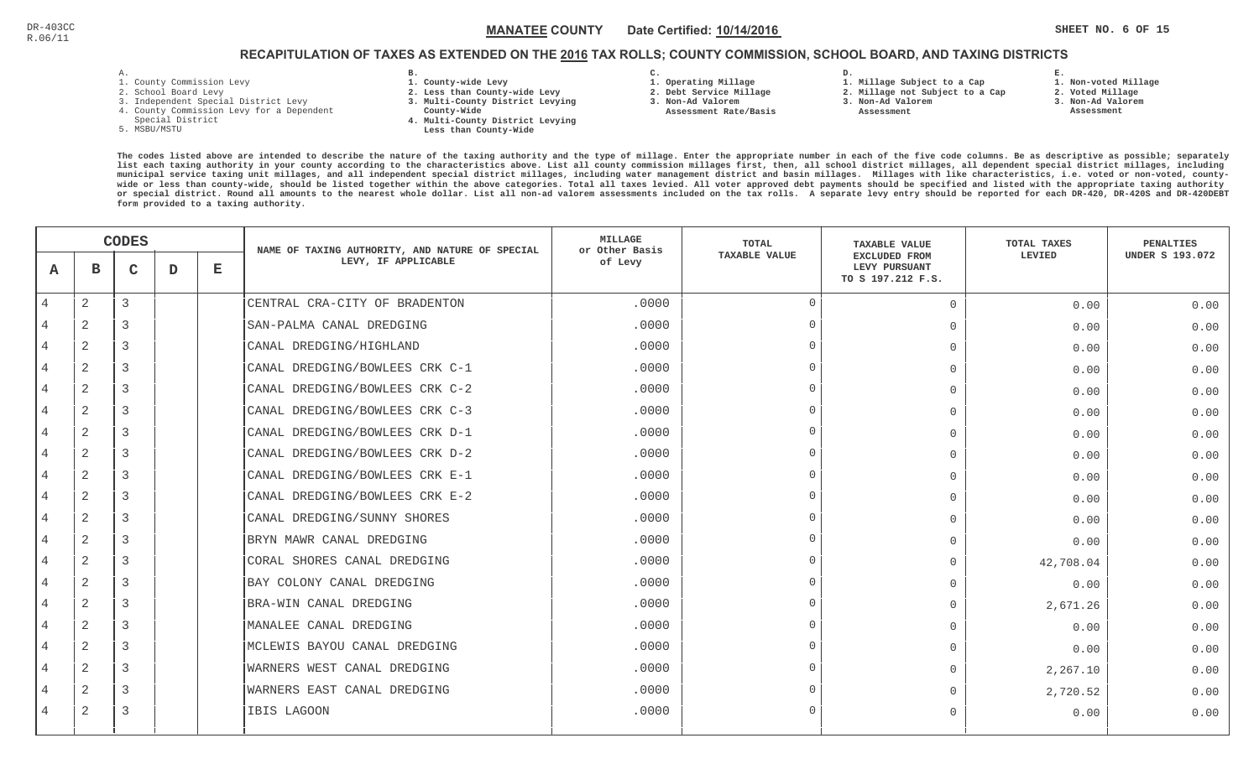# RECAPITULATION OF TAXES AS EXTENDED ON THE <u>2016</u> TAX ROLLS; COUNTY COMMISSION, SCHOOL BOARD, AND TAXING DISTRICTS

- 1. County Commission Levy
- 2. School Board Levy
- 3. Independent Special District Levy
- 4. County Commission Levy for a Dependent
- Special District
- 5. MSBU/MSTU
- **B. 1. County-wide Levy**
- **2. Less than County-wide Levy**
- **3. Multi-County District Levying**
- **County-Wide** 
	- **4. Multi-County District Levying Less than County-Wide**
- **C.**
- **1. Operating Millage**
- **2. Debt Service Millage 3. Non-Ad Valorem**
- **Assessment Rate/Basis**
- **2. Millage not Subject to a Cap**

**D.** 

**3. Non-Ad Valorem Assessment** 

**1. Millage Subject to a Cap**

**1. Non-voted Millage**

**E.**

- **2. Voted Millage**
- **3. Non-Ad Valorem**
- **Assessment**

|                | <b>CODES</b>   |                |   | NAME OF TAXING AUTHORITY, AND NATURE OF SPECIAL | <b>MILLAGE</b><br>or Other Basis | TOTAL   | <b>TAXABLE VALUE</b> | TOTAL TAXES                                                | PENALTIES |                        |
|----------------|----------------|----------------|---|-------------------------------------------------|----------------------------------|---------|----------------------|------------------------------------------------------------|-----------|------------------------|
| A              | в              | $\mathsf{C}$   | D | $\mathbf E$                                     | LEVY, IF APPLICABLE              | of Levy | <b>TAXABLE VALUE</b> | <b>EXCLUDED FROM</b><br>LEVY PURSUANT<br>TO S 197.212 F.S. | LEVIED    | <b>UNDER S 193.072</b> |
| 4              | $\mathbf{2}$   | 3              |   |                                                 | CENTRAL CRA-CITY OF BRADENTON    | .0000   | $\Omega$             | $\Omega$                                                   | 0.00      | 0.00                   |
|                | $\mathbf{2}$   | 3              |   |                                                 | SAN-PALMA CANAL DREDGING         | .0000   | $\cap$               | $\Omega$                                                   | 0.00      | 0.00                   |
|                | $\overline{2}$ | 3              |   |                                                 | CANAL DREDGING/HIGHLAND          | .0000   | $\cap$               | $\mathbf{0}$                                               | 0.00      | 0.00                   |
| $\overline{4}$ | 2              | 3              |   |                                                 | CANAL DREDGING/BOWLEES CRK C-1   | .0000   | $\Omega$             | $\Omega$                                                   | 0.00      | 0.00                   |
| $\overline{4}$ | $\overline{2}$ | 3              |   |                                                 | CANAL DREDGING/BOWLEES CRK C-2   | .0000   | $\cap$               | $\Omega$                                                   | 0.00      | 0.00                   |
| $\overline{4}$ | 2              | $\overline{3}$ |   |                                                 | CANAL DREDGING/BOWLEES CRK C-3   | .0000   | $\Omega$             | $\mathbf 0$                                                | 0.00      | 0.00                   |
|                | $\overline{2}$ | 3              |   |                                                 | CANAL DREDGING/BOWLEES CRK D-1   | .0000   | $\Omega$             | $\Omega$                                                   | 0.00      | 0.00                   |
| $\overline{4}$ | 2              | 3              |   |                                                 | CANAL DREDGING/BOWLEES CRK D-2   | .0000   | $\cap$               | $\Omega$                                                   | 0.00      | 0.00                   |
|                | $\overline{2}$ | 3              |   |                                                 | CANAL DREDGING/BOWLEES CRK E-1   | .0000   | $\cap$               | $\mathbf 0$                                                | 0.00      | 0.00                   |
| $\overline{4}$ | 2              | 3              |   |                                                 | CANAL DREDGING/BOWLEES CRK E-2   | .0000   | $\bigcap$            | $\Omega$                                                   | 0.00      | 0.00                   |
| $\overline{4}$ | 2              | 3              |   |                                                 | CANAL DREDGING/SUNNY SHORES      | .0000   | $\Omega$             | $\Omega$                                                   | 0.00      | 0.00                   |
| 4              | $\mathbf{2}$   | $\overline{3}$ |   |                                                 | BRYN MAWR CANAL DREDGING         | .0000   | $\Omega$             | $\Omega$                                                   | 0.00      | 0.00                   |
|                | 2              | 3              |   |                                                 | CORAL SHORES CANAL DREDGING      | .0000   | $\cap$               | $\Omega$                                                   | 42,708.04 | 0.00                   |
| $\overline{4}$ | 2              | 3              |   |                                                 | BAY COLONY CANAL DREDGING        | .0000   | $\cap$               | $\Omega$                                                   | 0.00      | 0.00                   |
|                | $\overline{2}$ | $\mathbf{3}$   |   |                                                 | BRA-WIN CANAL DREDGING           | .0000   | $\Omega$             | $\mathbf{0}$                                               | 2,671.26  | 0.00                   |
| 4              | $\overline{2}$ | 3              |   |                                                 | MANALEE CANAL DREDGING           | .0000   | $\cap$               | $\mathbf{0}$                                               | 0.00      | 0.00                   |
| $\overline{4}$ | $\overline{2}$ | 3              |   |                                                 | MCLEWIS BAYOU CANAL DREDGING     | .0000   | $\Omega$             | $\Omega$                                                   | 0.00      | 0.00                   |
| $\overline{4}$ | $\mathbf{2}$   | $\overline{3}$ |   |                                                 | WARNERS WEST CANAL DREDGING      | .0000   | $\Omega$             | $\Omega$                                                   | 2,267.10  | 0.00                   |
|                | 2              | 3              |   |                                                 | WARNERS EAST CANAL DREDGING      | .0000   | $\cap$               | $\Omega$                                                   | 2,720.52  | 0.00                   |
| $\overline{4}$ | $\overline{2}$ | 3              |   |                                                 | IBIS LAGOON                      | .0000   | $\cap$               | $\Omega$                                                   | 0.00      | 0.00                   |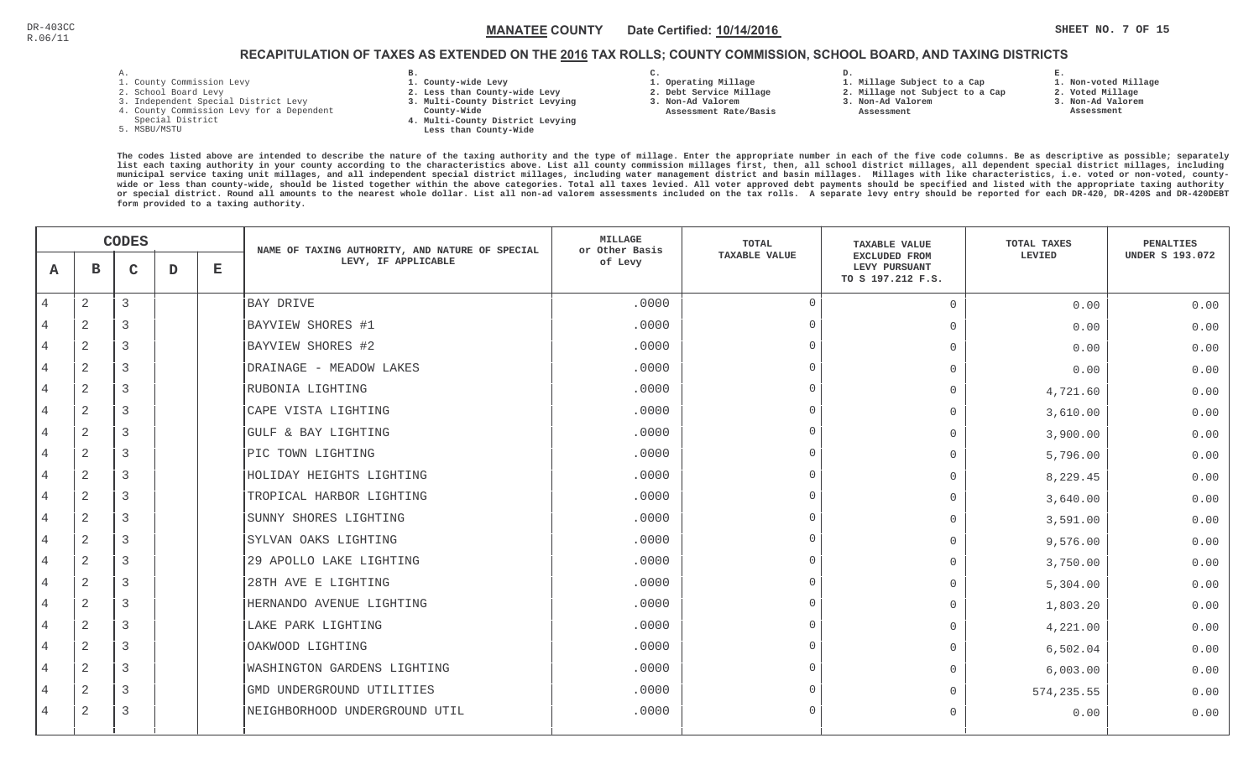**1. Non-voted Millage**

# RECAPITULATION OF TAXES AS EXTENDED ON THE <u>2016</u> TAX ROLLS; COUNTY COMMISSION, SCHOOL BOARD, AND TAXING DISTRICTS

| - |  |  |  |
|---|--|--|--|

- 1. County Commission Levy
- 2. School Board Levy
- 3. Independent Special District Levy
- 4. County Commission Levy for a Dependent
- Special District
- 5. MSBU/MSTU
- **B. 1. County-wide Levy**
- **2. Less than County-wide Levy**
- **3. Multi-County District Levying**
- **County-Wide**
- **4. Multi-County District Levying Less than County-Wide**
- **C. 3. Non-Ad Valorem**

**2. Debt Service Millage** 

 **Assessment Rate/Basis**

- **1. Operating Millage**
- **D. 1. Millage Subject to a Cap**
	- **2. Millage not Subject to a Cap3. Non-Ad Valorem**
		- **Assessment**
- **E.2. Voted Millage**
	- **3. Non-Ad Valorem**
	- **Assessment**

|                | <b>CODES</b>   |   |   | NAME OF TAXING AUTHORITY, AND NATURE OF SPECIAL | <b>MILLAGE</b><br>or Other Basis   | <b>TOTAL</b> | <b>TAXABLE VALUE</b> | TOTAL TAXES                                         | <b>PENALTIES</b> |                        |
|----------------|----------------|---|---|-------------------------------------------------|------------------------------------|--------------|----------------------|-----------------------------------------------------|------------------|------------------------|
| A              | в              | C | D | Е                                               | LEVY, IF APPLICABLE                | of Levy      | <b>TAXABLE VALUE</b> | EXCLUDED FROM<br>LEVY PURSUANT<br>TO S 197.212 F.S. | LEVIED           | <b>UNDER S 193.072</b> |
| 4              | $\mathbf{2}$   | 3 |   |                                                 | BAY DRIVE                          | .0000        | $\overline{0}$       | $\Omega$                                            | 0.00             | 0.00                   |
|                | 2              | 3 |   |                                                 | BAYVIEW SHORES #1                  | .0000        | $\overline{0}$       | $\overline{0}$                                      | 0.00             | 0.00                   |
| 4              | 2              | 3 |   |                                                 | BAYVIEW SHORES #2                  | .0000        | $\Omega$             | $\overline{0}$                                      | 0.00             | 0.00                   |
| $\overline{4}$ | $\mathbf{2}$   | 3 |   |                                                 | DRAINAGE - MEADOW LAKES            | .0000        | $\Omega$             | $\Omega$                                            | 0.00             | 0.00                   |
| 4              | 2              | 3 |   |                                                 | RUBONIA LIGHTING                   | .0000        | $\Omega$             | $\Omega$                                            | 4,721.60         | 0.00                   |
| 4              | 2              | 3 |   |                                                 | CAPE VISTA LIGHTING                | .0000        | $\Omega$             | $\Omega$                                            | 3,610.00         | 0.00                   |
| 4              | 2              | 3 |   |                                                 | GULF & BAY LIGHTING                | .0000        | $\Omega$             | $\Omega$                                            | 3,900.00         | 0.00                   |
| 4              | 2              | 3 |   |                                                 | PIC TOWN LIGHTING                  | .0000        | $\cap$               | $\Omega$                                            | 5,796.00         | 0.00                   |
| 4              | 2              | 3 |   |                                                 | HOLIDAY HEIGHTS LIGHTING           | .0000        | $\Omega$             | $\Omega$                                            | 8,229.45         | 0.00                   |
| $\overline{4}$ | 2              | 3 |   |                                                 | TROPICAL HARBOR LIGHTING           | .0000        | $\Omega$             | 0                                                   | 3,640.00         | 0.00                   |
| $\overline{4}$ | $\overline{2}$ | 3 |   |                                                 | SUNNY SHORES LIGHTING              | .0000        | $\Omega$             | $\Omega$                                            | 3,591.00         | 0.00                   |
| 4              | $\overline{a}$ | 3 |   |                                                 | SYLVAN OAKS LIGHTING               | .0000        | $\Omega$             | $\Omega$                                            | 9,576.00         | 0.00                   |
| 4              | $\mathbf{2}$   | 3 |   |                                                 | 29 APOLLO LAKE LIGHTING            | .0000        | $\Omega$             | $\Omega$                                            | 3,750.00         | 0.00                   |
|                | 2              | 3 |   |                                                 | 28TH AVE E LIGHTING                | .0000        | $\Omega$             | $\Omega$                                            | 5,304.00         | 0.00                   |
| 4              | 2              | 3 |   |                                                 | HERNANDO AVENUE LIGHTING           | .0000        | $\cap$               | $\Omega$                                            | 1,803.20         | 0.00                   |
| 4              | 2              | 3 |   |                                                 | LAKE PARK LIGHTING                 | .0000        | $\Omega$             | $\Omega$                                            | 4,221.00         | 0.00                   |
| $\overline{4}$ | 2              | 3 |   |                                                 | OAKWOOD LIGHTING                   | .0000        | $\Omega$             | $\Omega$                                            | 6,502.04         | 0.00                   |
| 4              | $\overline{2}$ | 3 |   |                                                 | <b>WASHINGTON GARDENS LIGHTING</b> | .0000        | $\Omega$             | $\Omega$                                            | 6,003.00         | 0.00                   |
| 4              | 2              | 3 |   |                                                 | GMD UNDERGROUND UTILITIES          | .0000        | $\Omega$             | $\Omega$                                            | 574, 235.55      | 0.00                   |
| $\overline{4}$ | 2              | 3 |   |                                                 | NEIGHBORHOOD UNDERGROUND UTIL      | .0000        | $\cap$               | $\Omega$                                            | 0.00             | 0.00                   |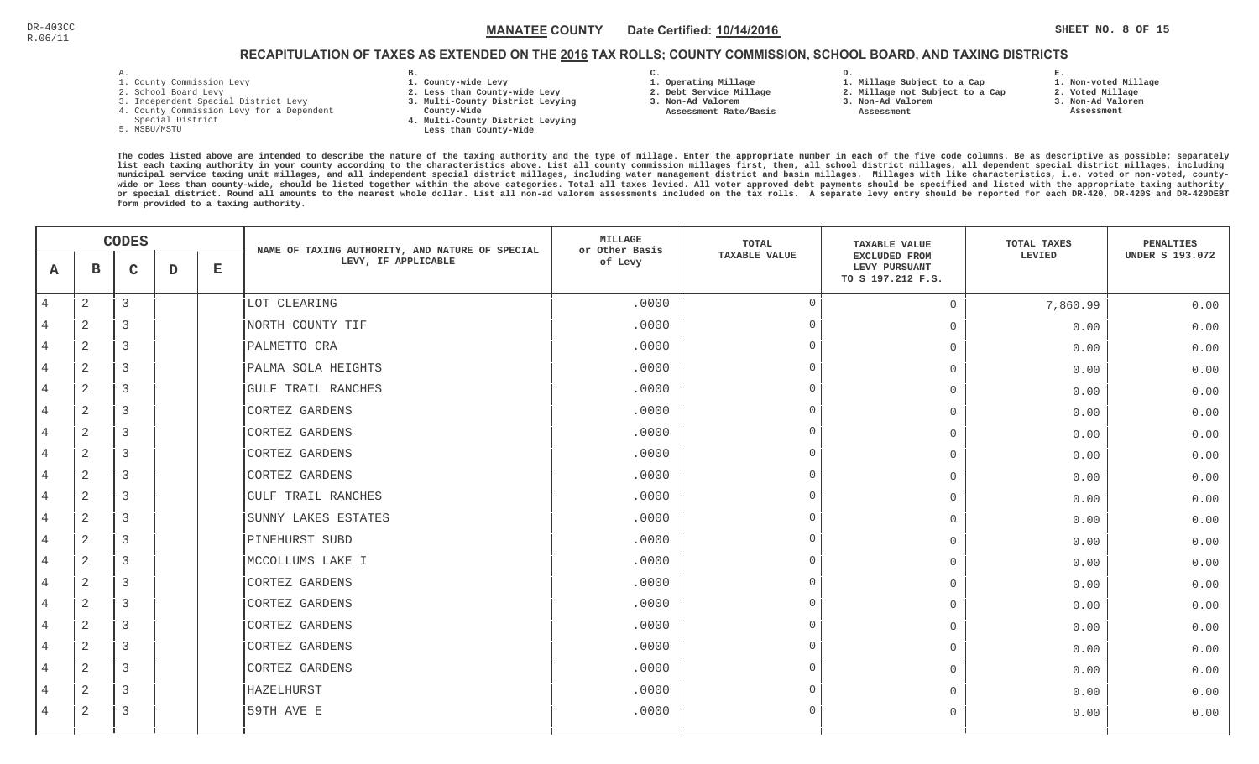**1. Non-voted Millage**

# RECAPITULATION OF TAXES AS EXTENDED ON THE <u>2016</u> TAX ROLLS; COUNTY COMMISSION, SCHOOL BOARD, AND TAXING DISTRICTS

- 1. County Commission Levy
- 2. School Board Levy
- 3. Independent Special District Levy
- 4. County Commission Levy for a Dependent
- Special District
- 5. MSBU/MSTU
- **B. 1. County-wide Levy**
- **2. Less than County-wide Levy**
- **3. Multi-County District Levying**
- **County-Wide**
- **4. Multi-County District Levying Less than County-Wide**
- **C. 3. Non-Ad Valorem**

**2. Debt Service Millage** 

 **Assessment Rate/Basis**

- **1. Operating Millage**
- **D. 1. Millage Subject to a Cap**
	- **2. Millage not Subject to a Cap3. Non-Ad Valorem**
	- **Assessment**
- 
- **3. Non-Ad Valorem**

**E.**

**2. Voted Millage Assessment**

|                | <b>CODES</b>   |                |   | NAME OF TAXING AUTHORITY, AND NATURE OF SPECIAL | MILLAGE<br>or Other Basis | TOTAL   | <b>TAXABLE VALUE</b> | TOTAL TAXES                                                | PENALTIES |                        |
|----------------|----------------|----------------|---|-------------------------------------------------|---------------------------|---------|----------------------|------------------------------------------------------------|-----------|------------------------|
| A              | в              | $\mathbf C$    | D | $\mathbf{E}$                                    | LEVY, IF APPLICABLE       | of Levy | <b>TAXABLE VALUE</b> | <b>EXCLUDED FROM</b><br>LEVY PURSUANT<br>TO S 197.212 F.S. | LEVIED    | <b>UNDER S 193.072</b> |
| $\overline{4}$ | 2              | $\mathbf{3}$   |   |                                                 | LOT CLEARING              | .0000   | $\Omega$             | $\overline{0}$                                             | 7,860.99  | 0.00                   |
|                | $\sqrt{2}$     | 3              |   |                                                 | NORTH COUNTY TIF          | .0000   | $\Omega$             | $\overline{0}$                                             | 0.00      | 0.00                   |
|                | 2              | 3              |   |                                                 | PALMETTO CRA              | .0000   | $\cap$               | $\Omega$                                                   | 0.00      | 0.00                   |
| $\overline{4}$ | 2              | $\overline{3}$ |   |                                                 | PALMA SOLA HEIGHTS        | .0000   | $\Omega$             | $\Omega$                                                   | 0.00      | 0.00                   |
| $\overline{4}$ | 2              | 3              |   |                                                 | <b>GULF TRAIL RANCHES</b> | .0000   | $\Omega$             | $\Omega$                                                   | 0.00      | 0.00                   |
| $\overline{4}$ | 2              | $\overline{3}$ |   |                                                 | CORTEZ GARDENS            | .0000   | $\cap$               | $\Omega$                                                   | 0.00      | 0.00                   |
| $\overline{4}$ | 2              | 3              |   |                                                 | CORTEZ GARDENS            | .0000   | $\Omega$             | $\mathbf 0$                                                | 0.00      | 0.00                   |
|                | $\overline{a}$ | 3              |   |                                                 | CORTEZ GARDENS            | .0000   |                      | $\overline{0}$                                             | 0.00      | 0.00                   |
|                | $\overline{a}$ | 3              |   |                                                 | CORTEZ GARDENS            | .0000   | $\cap$               | $\overline{0}$                                             | 0.00      | 0.00                   |
| $\overline{4}$ | 2              | 3              |   |                                                 | GULF TRAIL RANCHES        | .0000   | $\Omega$             | $\overline{0}$                                             | 0.00      | 0.00                   |
| $\overline{4}$ | 2              | $\overline{3}$ |   |                                                 | SUNNY LAKES ESTATES       | .0000   | $\Omega$             | $\Omega$                                                   | 0.00      | 0.00                   |
|                | $\overline{a}$ | $\overline{3}$ |   |                                                 | PINEHURST SUBD            | .0000   | $\Omega$             | $\Omega$                                                   | 0.00      | 0.00                   |
| $\overline{4}$ | 2              | 3              |   |                                                 | MCCOLLUMS LAKE I          | .0000   | $\cap$               | $\Omega$                                                   | 0.00      | 0.00                   |
|                | 2              | 3              |   |                                                 | CORTEZ GARDENS            | .0000   | $\cap$               | $\Omega$                                                   | 0.00      | 0.00                   |
| $\overline{4}$ | 2              | 3              |   |                                                 | CORTEZ GARDENS            | .0000   | $\cap$               | $\overline{0}$                                             | 0.00      | 0.00                   |
| 4              | 2              | 3              |   |                                                 | CORTEZ GARDENS            | .0000   | $\cap$               | $\Omega$                                                   | 0.00      | 0.00                   |
| $\overline{4}$ | $\overline{c}$ | 3              |   |                                                 | CORTEZ GARDENS            | .0000   | $\cap$               | $\overline{0}$                                             | 0.00      | 0.00                   |
| $\overline{4}$ | 2              | $\overline{3}$ |   |                                                 | CORTEZ GARDENS            | .0000   | $\Omega$             | $\mathbf{0}$                                               | 0.00      | 0.00                   |
|                | 2              | 3              |   |                                                 | HAZELHURST                | .0000   | $\Omega$             | $\bigcap$                                                  | 0.00      | 0.00                   |
| $\overline{4}$ | 2              | 3              |   |                                                 | 59TH AVE E                | .0000   | $\Omega$             | $\Omega$                                                   | 0.00      | 0.00                   |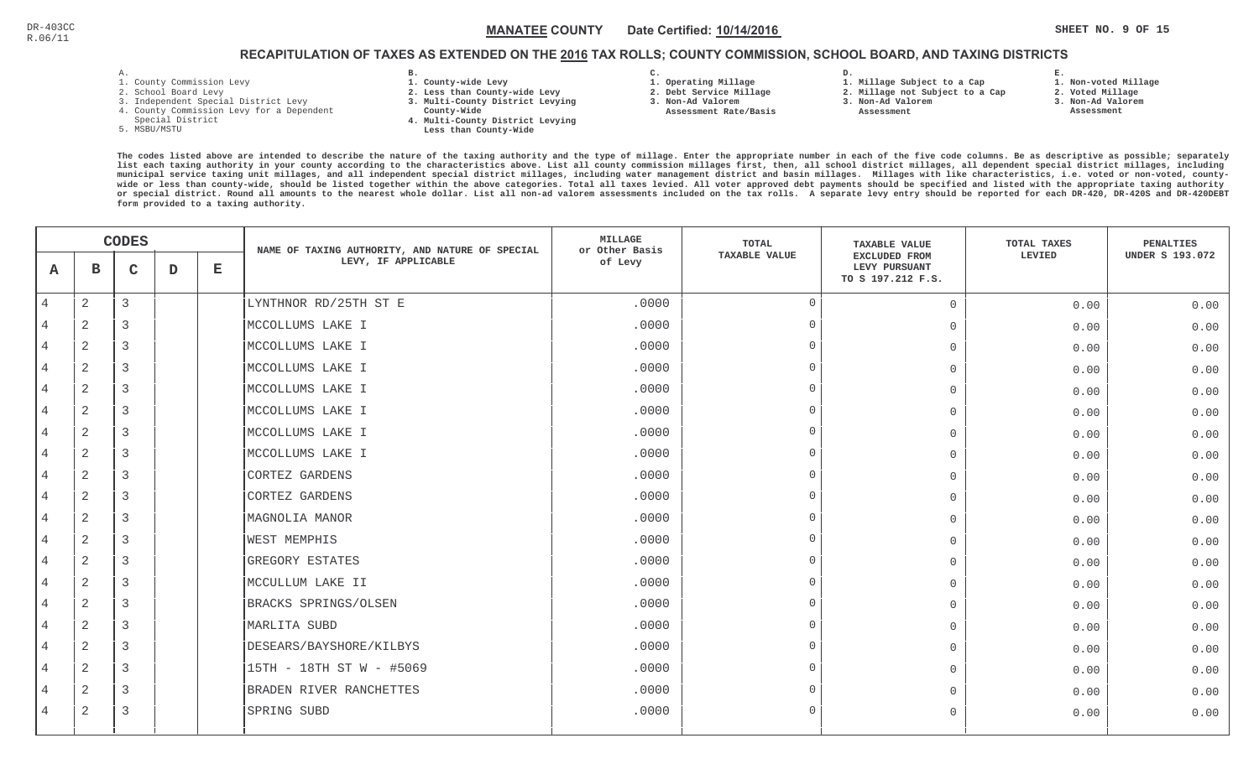# RECAPITULATION OF TAXES AS EXTENDED ON THE <u>2016</u> TAX ROLLS; COUNTY COMMISSION, SCHOOL BOARD, AND TAXING DISTRICTS

- 1. County Commission Levy
- 2. School Board Levy
- 3. Independent Special District Levy
- 4. County Commission Levy for a Dependent
- Special District
- 5. MSBU/MSTU
- **B. 1. County-wide Levy**
- **2. Less than County-wide Levy**
- **3. Multi-County District Levying**
- **County-Wide** 
	- **4. Multi-County District Levying Less than County-Wide**
- **C. 3. Non-Ad Valorem**

**2. Debt Service Millage** 

 **Assessment Rate/Basis**

- **1. Operating Millage**
- **1. Millage Subject to a Cap**

**D.** 

- **2. Millage not Subject to a Cap**
- **3. Non-Ad Valorem**
	- **Assessment**

**1. Non-voted Millage**

**E.**

- **2. Voted Millage**
- **3. Non-Ad Valorem**
- **Assessment**

|                | <b>CODES</b>   |              |   | NAME OF TAXING AUTHORITY, AND NATURE OF SPECIAL | <b>MILLAGE</b><br>or Other Basis | <b>TOTAL</b> | <b>TAXABLE VALUE</b> | TOTAL TAXES                                                | <b>PENALTIES</b> |                        |
|----------------|----------------|--------------|---|-------------------------------------------------|----------------------------------|--------------|----------------------|------------------------------------------------------------|------------------|------------------------|
| A              | в              | $\mathsf{C}$ | D | $\mathbf E$                                     | LEVY, IF APPLICABLE              | of Levy      | <b>TAXABLE VALUE</b> | <b>EXCLUDED FROM</b><br>LEVY PURSUANT<br>TO S 197.212 F.S. | LEVIED           | <b>UNDER S 193.072</b> |
| $\overline{4}$ | $\mathbf{2}$   | 3            |   |                                                 | LYNTHNOR RD/25TH ST E            | .0000        | $\overline{0}$       | $\circ$                                                    | 0.00             | 0.00                   |
| 4              | 2              | 3            |   |                                                 | MCCOLLUMS LAKE I                 | .0000        | $\Omega$             | $\overline{0}$                                             | 0.00             | 0.00                   |
| $\overline{4}$ | 2              | 3            |   |                                                 | MCCOLLUMS LAKE I                 | .0000        | $\Omega$             | $\overline{0}$                                             | 0.00             | 0.00                   |
| $\overline{4}$ | 2              | 3            |   |                                                 | MCCOLLUMS LAKE I                 | .0000        | $\Omega$             | $\Omega$                                                   | 0.00             | 0.00                   |
| $\overline{4}$ | $\overline{2}$ | 3            |   |                                                 | MCCOLLUMS LAKE I                 | .0000        | $\Omega$             | $\Omega$                                                   | 0.00             | 0.00                   |
| 4              | 2              | 3            |   |                                                 | MCCOLLUMS LAKE I                 | .0000        | $\Omega$             | $\Omega$                                                   | 0.00             | 0.00                   |
| 4              | 2              | 3            |   |                                                 | MCCOLLUMS LAKE I                 | .0000        | $\Omega$             | $\overline{0}$                                             | 0.00             | 0.00                   |
| 4              | $\overline{2}$ | 3            |   |                                                 | MCCOLLUMS LAKE I                 | .0000        | $\overline{0}$       | $\overline{0}$                                             | 0.00             | 0.00                   |
| 4              | 2              | 3            |   |                                                 | CORTEZ GARDENS                   | .0000        | $\Omega$             | $\overline{0}$                                             | 0.00             | 0.00                   |
| $\overline{4}$ | $\mathbf{2}$   | 3            |   |                                                 | CORTEZ GARDENS                   | .0000        | $\Omega$             | $\Omega$                                                   | 0.00             | 0.00                   |
| $\overline{4}$ | $\mathbf{2}$   | 3            |   |                                                 | MAGNOLIA MANOR                   | .0000        | $\Omega$             | $\Omega$                                                   | 0.00             | 0.00                   |
| 4              | 2              | 3            |   |                                                 | <b>WEST MEMPHIS</b>              | .0000        | $\Omega$             | $\Omega$                                                   | 0.00             | 0.00                   |
| $\overline{4}$ | $\mathbf{2}$   | 3            |   |                                                 | GREGORY ESTATES                  | .0000        | $\Omega$             | $\Omega$                                                   | 0.00             | 0.00                   |
| 4              | 2              | 3            |   |                                                 | MCCULLUM LAKE II                 | .0000        | $\cap$               | $\Omega$                                                   | 0.00             | 0.00                   |
| 4              | 2              | 3            |   |                                                 | BRACKS SPRINGS/OLSEN             | .0000        | $\Omega$             | $\overline{0}$                                             | 0.00             | 0.00                   |
| $\overline{4}$ | 2              | 3            |   |                                                 | MARLITA SUBD                     | .0000        | $\Omega$             | $\Omega$                                                   | 0.00             | 0.00                   |
| 4              | 2              | 3            |   |                                                 | DESEARS/BAYSHORE/KILBYS          | .0000        | $\Omega$             | $\Omega$                                                   | 0.00             | 0.00                   |
| 4              | 2              | 3            |   |                                                 | 15TH - 18TH ST W - #5069         | .0000        | $\Omega$             | $\Omega$                                                   | 0.00             | 0.00                   |
|                | 2              | 3            |   |                                                 | BRADEN RIVER RANCHETTES          | .0000        | $\Omega$             | $\Omega$                                                   | 0.00             | 0.00                   |
| 4              | 2              | 3            |   |                                                 | SPRING SUBD                      | .0000        | $\Omega$             | $\Omega$                                                   | 0.00             | 0.00                   |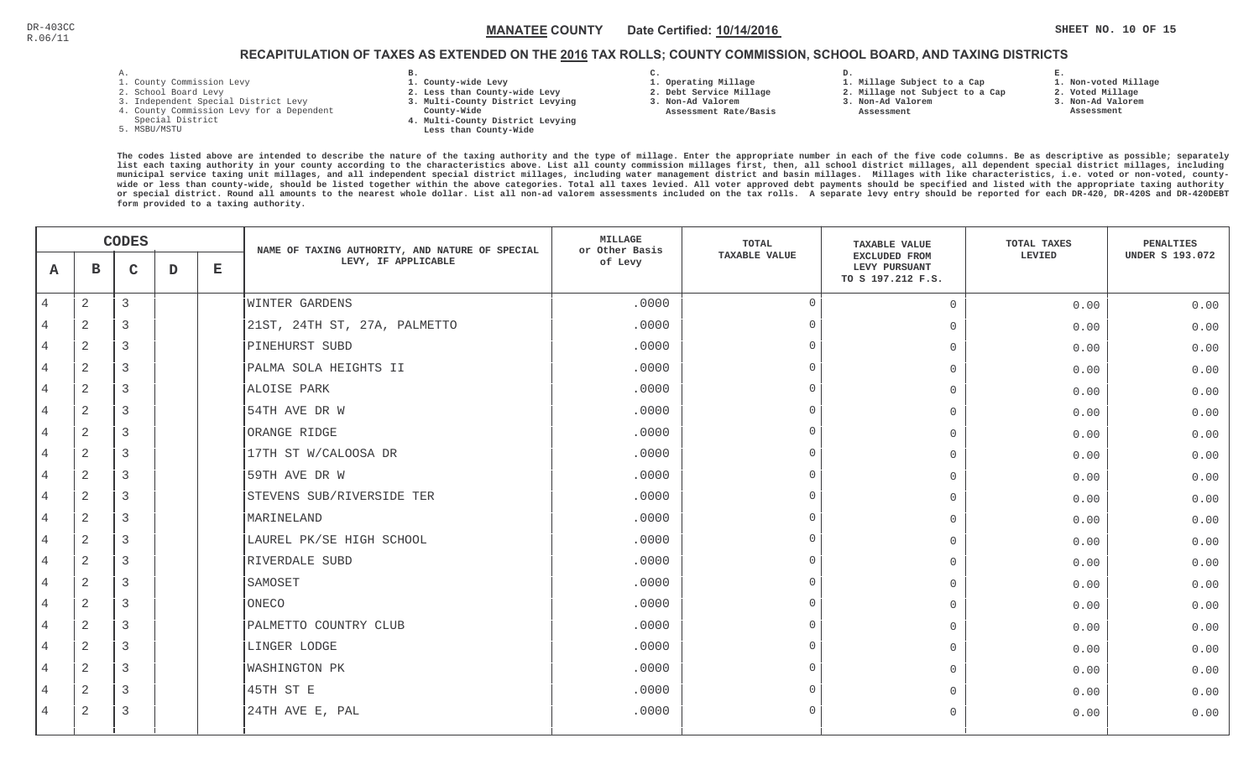## RECAPITULATION OF TAXES AS EXTENDED ON THE <u>2016</u> TAX ROLLS; COUNTY COMMISSION, SCHOOL BOARD, AND TAXING DISTRICTS

- 1. County Commission Levy
- 2. School Board Levy
- 3. Independent Special District Levy
- 4. County Commission Levy for a Dependent
- Special District
- 5. MSBU/MSTU
- **B. 1. County-wide Levy**
- **2. Less than County-wide Levy**
- **3. Multi-County District Levying**
- **County-Wide**
- **4. Multi-County District Levying Less than County-Wide**
- **C. 3. Non-Ad Valorem**

**2. Debt Service Millage** 

 **Assessment Rate/Basis**

- **1. Operating Millage**
- **1. Millage Subject to a Cap**

**D.** 

- **2. Millage not Subject to a Cap3. Non-Ad Valorem**
	- **Assessment**
- 
- **3. Non-Ad Valorem Assessment**

**E.**

**2. Voted Millage**

**1. Non-voted Millage**

|                | <b>CODES</b>   |              |             | NAME OF TAXING AUTHORITY, AND NATURE OF SPECIAL | MILLAGE<br>or Other Basis    | TOTAL   | <b>TAXABLE VALUE</b> | TOTAL TAXES                                                | PENALTIES |                        |
|----------------|----------------|--------------|-------------|-------------------------------------------------|------------------------------|---------|----------------------|------------------------------------------------------------|-----------|------------------------|
| A              | в              | $\mathsf{C}$ | $\mathbf D$ | $\mathbf E$                                     | LEVY, IF APPLICABLE          | of Levy | <b>TAXABLE VALUE</b> | <b>EXCLUDED FROM</b><br>LEVY PURSUANT<br>TO S 197.212 F.S. | LEVIED    | <b>UNDER S 193.072</b> |
| $\overline{4}$ | $\overline{a}$ | 3            |             |                                                 | <b>WINTER GARDENS</b>        | .0000   | $\overline{0}$       | $\Omega$                                                   | 0.00      | 0.00                   |
|                | 2              | 3            |             |                                                 | 21ST, 24TH ST, 27A, PALMETTO | .0000   | $\cap$               | $\overline{0}$                                             | 0.00      | 0.00                   |
| 4              | 2              | 3            |             |                                                 | PINEHURST SUBD               | .0000   |                      | $\Omega$                                                   | 0.00      | 0.00                   |
| $\overline{4}$ | 2              | 3            |             |                                                 | PALMA SOLA HEIGHTS II        | .0000   | $\cap$               | $\mathbf 0$                                                | 0.00      | 0.00                   |
| $\overline{4}$ | 2              | 3            |             |                                                 | ALOISE PARK                  | .0000   |                      | $\bigcap$                                                  | 0.00      | 0.00                   |
| $\overline{4}$ | 2              | 3            |             |                                                 | 54TH AVE DR W                | .0000   | $\Omega$             | $\Omega$                                                   | 0.00      | 0.00                   |
| 4              | 2              | 3            |             |                                                 | ORANGE RIDGE                 | .0000   | $\cap$               | $\bigcap$                                                  | 0.00      | 0.00                   |
| 4              | 2              | 3            |             |                                                 | 17TH ST W/CALOOSA DR         | .0000   |                      | $\mathbf 0$                                                | 0.00      | 0.00                   |
|                | $\overline{2}$ | 3            |             |                                                 | 59TH AVE DR W                | .0000   |                      | $\overline{0}$                                             | 0.00      | 0.00                   |
| 4              | 2              | 3            |             |                                                 | STEVENS SUB/RIVERSIDE TER    | .0000   |                      | $\overline{0}$                                             | 0.00      | 0.00                   |
| $\overline{4}$ | 2              | 3            |             |                                                 | MARINELAND                   | .0000   |                      | $\Omega$                                                   | 0.00      | 0.00                   |
| $\overline{4}$ | $\mathbf{2}$   | 3            |             |                                                 | LAUREL PK/SE HIGH SCHOOL     | .0000   | $\cap$               | $\Omega$                                                   | 0.00      | 0.00                   |
| $\overline{4}$ | 2              | 3            |             |                                                 | RIVERDALE SUBD               | .0000   | $\Omega$             | $\bigcap$                                                  | 0.00      | 0.00                   |
| 4              | 2              | 3            |             |                                                 | SAMOSET                      | .0000   | $\cap$               | $\Omega$                                                   | 0.00      | 0.00                   |
| 4              | 2              | 3            |             |                                                 | ONECO                        | .0000   |                      | $\mathbf 0$                                                | 0.00      | 0.00                   |
|                | 2              | 3            |             |                                                 | PALMETTO COUNTRY CLUB        | .0000   |                      | $\mathbf 0$                                                | 0.00      | 0.00                   |
| 4              | 2              | 3            |             |                                                 | LINGER LODGE                 | .0000   |                      | $\Omega$                                                   | 0.00      | 0.00                   |
| 4              | 2              | 3            |             |                                                 | <b>WASHINGTON PK</b>         | .0000   | $\cap$               | $\Omega$                                                   | 0.00      | 0.00                   |
| 4              | $\overline{2}$ | 3            |             |                                                 | 45TH ST E                    | .0000   | $\cap$               | $\Omega$                                                   | 0.00      | 0.00                   |
| 4              | 2              | 3            |             |                                                 | 24TH AVE E, PAL              | .0000   | $\cap$               | $\Omega$                                                   | 0.00      | 0.00                   |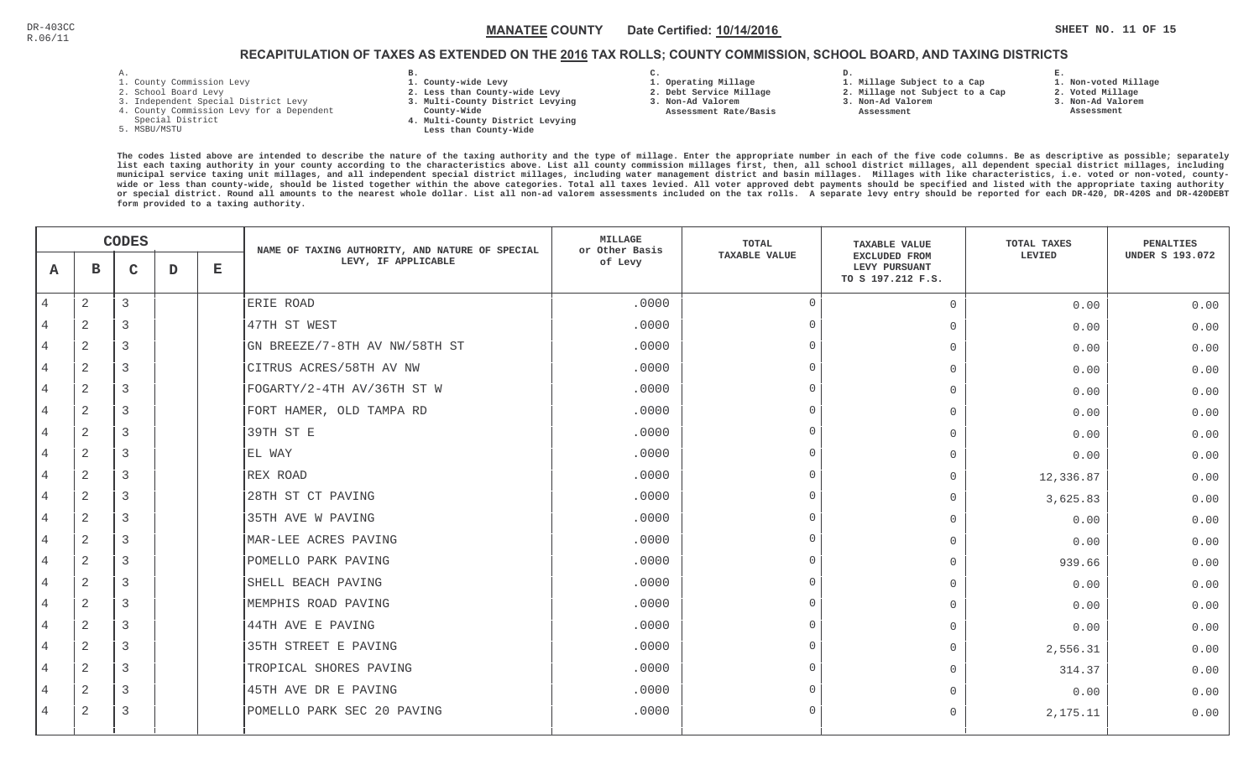## RECAPITULATION OF TAXES AS EXTENDED ON THE <u>2016</u> TAX ROLLS; COUNTY COMMISSION, SCHOOL BOARD, AND TAXING DISTRICTS

- 1. County Commission Levy
- 2. School Board Levy
- 3. Independent Special District Levy
- 4. County Commission Levy for a Dependent
- Special District
- 5. MSBU/MSTU
- **B. 1. County-wide Levy**
- **2. Less than County-wide Levy**
- **3. Multi-County District Levying**
- **County-Wide**
- **4. Multi-County District Levying Less than County-Wide**
- **C.**
- **1. Operating Millage**
- **2. Debt Service Millage 3. Non-Ad Valorem**
- **Assessment Rate/Basis**
- **2. Millage not Subject to a Cap**

**D.** 

**3. Non-Ad Valorem Assessment** 

**1. Millage Subject to a Cap**

**1. Non-voted Millage**

**E.**

- **2. Voted Millage**
- **3. Non-Ad Valorem**
- **Assessment**

|                | <b>CODES</b>   |                |             | NAME OF TAXING AUTHORITY, AND NATURE OF SPECIAL | <b>MILLAGE</b><br>or Other Basis | <b>TOTAL</b> | <b>TAXABLE VALUE</b> | TOTAL TAXES                                                | <b>PENALTIES</b> |                        |
|----------------|----------------|----------------|-------------|-------------------------------------------------|----------------------------------|--------------|----------------------|------------------------------------------------------------|------------------|------------------------|
| A              | $\mathbf B$    | C              | $\mathbf D$ | $\mathbf{E}$                                    | LEVY, IF APPLICABLE              | of Levy      | <b>TAXABLE VALUE</b> | <b>EXCLUDED FROM</b><br>LEVY PURSUANT<br>TO S 197.212 F.S. | LEVIED           | <b>UNDER S 193.072</b> |
| $\overline{4}$ | $\overline{2}$ | 3              |             |                                                 | ERIE ROAD                        | .0000        | $\overline{0}$       | $\circ$                                                    | 0.00             | 0.00                   |
|                | $\overline{2}$ | 3              |             |                                                 | 47TH ST WEST                     | .0000        | $\Omega$             | $\Omega$                                                   | 0.00             | 0.00                   |
| $\overline{4}$ | 2              | 3              |             |                                                 | GN BREEZE/7-8TH AV NW/58TH ST    | .0000        | $\Omega$             | $\circ$                                                    | 0.00             | 0.00                   |
| $\overline{4}$ | $\overline{2}$ | 3              |             |                                                 | CITRUS ACRES/58TH AV NW          | .0000        | $\cap$               | $\circ$                                                    | 0.00             | 0.00                   |
| 4              | $\overline{2}$ | 3              |             |                                                 | FOGARTY/2-4TH AV/36TH ST W       | .0000        | $\cap$               | $\overline{0}$                                             | 0.00             | 0.00                   |
| 4              | 2              | $\overline{3}$ |             |                                                 | FORT HAMER, OLD TAMPA RD         | .0000        | $\Omega$             | $\circ$                                                    | 0.00             | 0.00                   |
|                | $\overline{2}$ | 3              |             |                                                 | 39TH ST E                        | .0000        | $\cap$               | $\Omega$                                                   | 0.00             | 0.00                   |
| $\overline{4}$ | $\overline{2}$ | 3              |             |                                                 | EL WAY                           | .0000        | $\cap$               | $\mathbf 0$                                                | 0.00             | 0.00                   |
|                | $\overline{2}$ | 3              |             |                                                 | REX ROAD                         | .0000        | $\cap$               | $\Omega$                                                   | 12,336.87        | 0.00                   |
|                | 2              | 3              |             |                                                 | 28TH ST CT PAVING                | .0000        | $\Omega$             | $\mathbf 0$                                                | 3,625.83         | 0.00                   |
| 4              | $\overline{2}$ | 3              |             |                                                 | 35TH AVE W PAVING                | .0000        | $\Omega$             | $\overline{0}$                                             | 0.00             | 0.00                   |
| $\overline{4}$ | 2              | $\overline{3}$ |             |                                                 | MAR-LEE ACRES PAVING             | .0000        | $\Omega$             | $\Omega$                                                   | 0.00             | 0.00                   |
| $\overline{4}$ | $\overline{2}$ | $\overline{3}$ |             |                                                 | POMELLO PARK PAVING              | .0000        | $\Omega$             | $\overline{0}$                                             | 939.66           | 0.00                   |
|                | $\overline{2}$ | 3              |             |                                                 | SHELL BEACH PAVING               | .0000        | $\Omega$             | $\mathbf 0$                                                | 0.00             | 0.00                   |
| $\overline{4}$ | 2              | 3              |             |                                                 | MEMPHIS ROAD PAVING              | .0000        | $\cap$               | $\overline{0}$                                             | 0.00             | 0.00                   |
|                | 2              | 3              |             |                                                 | 44TH AVE E PAVING                | .0000        | $\cap$               | $\mathbf 0$                                                | 0.00             | 0.00                   |
| $\overline{4}$ | $\overline{2}$ | 3              |             |                                                 | 35TH STREET E PAVING             | .0000        | $\Omega$             | $\overline{0}$                                             | 2,556.31         | 0.00                   |
| 4              | 2              | 3              |             |                                                 | TROPICAL SHORES PAVING           | .0000        | $\Omega$             | $\Omega$                                                   | 314.37           | 0.00                   |
| $\overline{4}$ | $\overline{2}$ | 3              |             |                                                 | 45TH AVE DR E PAVING             | .0000        | $\cap$               | $\Omega$                                                   | 0.00             | 0.00                   |
| 4              | $\overline{2}$ | 3              |             |                                                 | POMELLO PARK SEC 20 PAVING       | .0000        | $\Omega$             | $\Omega$                                                   | 2,175.11         | 0.00                   |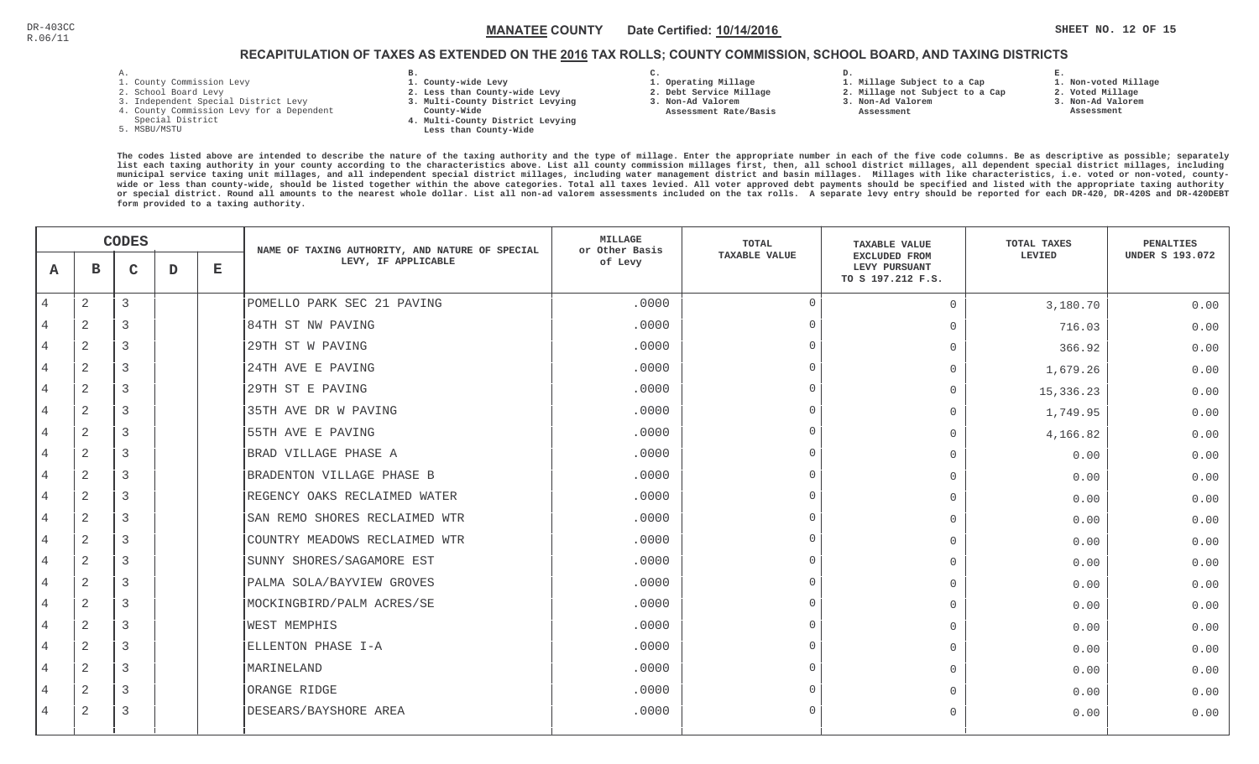## RECAPITULATION OF TAXES AS EXTENDED ON THE <u>2016</u> TAX ROLLS; COUNTY COMMISSION, SCHOOL BOARD, AND TAXING DISTRICTS

- 1. County Commission Levy
- 2. School Board Levy
- 3. Independent Special District Levy
- 4. County Commission Levy for a Dependent
- Special District
- 5. MSBU/MSTU
- **B. 1. County-wide Levy**
- **2. Less than County-wide Levy**
- **3. Multi-County District Levying**
- **County-Wide**
- **4. Multi-County District Levying Less than County-Wide**
- **C. 3. Non-Ad Valorem**

**2. Debt Service Millage** 

 **Assessment Rate/Basis**

- **1. Operating Millage**
- **1. Millage Subject to a Cap**

**D.** 

- **2. Millage not Subject to a Cap3. Non-Ad Valorem**
	- **Assessment**
- -

**E.**

 **3. Non-Ad Valorem Assessment**

 **1. Non-voted Millage2. Voted Millage**

|                |                | <b>CODES</b>   |   |             | NAME OF TAXING AUTHORITY, AND NATURE OF SPECIAL | MILLAGE<br>or Other Basis | <b>TOTAL</b>         | <b>TAXABLE VALUE</b>                                       | TOTAL TAXES | PENALTIES              |
|----------------|----------------|----------------|---|-------------|-------------------------------------------------|---------------------------|----------------------|------------------------------------------------------------|-------------|------------------------|
| A              | в              | $\mathsf{C}$   | D | $\mathbf E$ | LEVY, IF APPLICABLE                             | of Levy                   | <b>TAXABLE VALUE</b> | <b>EXCLUDED FROM</b><br>LEVY PURSUANT<br>TO S 197.212 F.S. | LEVIED      | <b>UNDER S 193.072</b> |
| $\overline{4}$ | 2              | 3              |   |             | POMELLO PARK SEC 21 PAVING                      | .0000                     | $\Omega$             | $\overline{0}$                                             | 3,180.70    | 0.00                   |
|                | $\overline{2}$ | 3              |   |             | 84TH ST NW PAVING                               | .0000                     | $\cap$               | $\Omega$                                                   | 716.03      | 0.00                   |
| 4              | 2              | 3              |   |             | 29TH ST W PAVING                                | .0000                     | $\Omega$             | $\Omega$                                                   | 366.92      | 0.00                   |
| 4              | 2              | 3              |   |             | 24TH AVE E PAVING                               | .0000                     | $\Omega$             | $\Omega$                                                   | 1,679.26    | 0.00                   |
| 4              | $\overline{2}$ | 3              |   |             | 29TH ST E PAVING                                | .0000                     | $\cap$               | $\mathbf 0$                                                | 15,336.23   | 0.00                   |
| 4              | $\overline{2}$ | 3              |   |             | 35TH AVE DR W PAVING                            | .0000                     | $\Omega$             | $\Omega$                                                   | 1,749.95    | 0.00                   |
| 4              | 2              | 3              |   |             | 55TH AVE E PAVING                               | .0000                     | $\cap$               | $\Omega$                                                   | 4,166.82    | 0.00                   |
| 4              | $\overline{c}$ | 3              |   |             | BRAD VILLAGE PHASE A                            | .0000                     | $\cap$               | $\mathbf{0}$                                               | 0.00        | 0.00                   |
| 4              | $\overline{2}$ | 3              |   |             | BRADENTON VILLAGE PHASE B                       | .0000                     | $\cap$               | $\mathbf{0}$                                               | 0.00        | 0.00                   |
| 4              | 2              | 3              |   |             | REGENCY OAKS RECLAIMED WATER                    | .0000                     | $\cap$               | $\overline{0}$                                             | 0.00        | 0.00                   |
| 4              | 2              | 3              |   |             | SAN REMO SHORES RECLAIMED WTR                   | .0000                     | $\Omega$             | $\Omega$                                                   | 0.00        | 0.00                   |
| 4              | $\mathbf{2}$   | $\overline{3}$ |   |             | COUNTRY MEADOWS RECLAIMED WTR                   | .0000                     | $\Omega$             | $\Omega$                                                   | 0.00        | 0.00                   |
| 4              | 2              | 3              |   |             | SUNNY SHORES/SAGAMORE EST                       | .0000                     | $\cap$               | $\mathbf{0}$                                               | 0.00        | 0.00                   |
| 4              | 2              | 3              |   |             | PALMA SOLA/BAYVIEW GROVES                       | .0000                     | $\cap$               | $\Omega$                                                   | 0.00        | 0.00                   |
| 4              | 2              | 3              |   |             | MOCKINGBIRD/PALM ACRES/SE                       | .0000                     | $\cap$               | $\mathbf{0}$                                               | 0.00        | 0.00                   |
|                | $\overline{2}$ | 3              |   |             | <b>WEST MEMPHIS</b>                             | .0000                     | $\cap$               | $\mathbf{0}$                                               | 0.00        | 0.00                   |
| 4              | 2              | 3              |   |             | ELLENTON PHASE I-A                              | .0000                     | $\Omega$             | $\mathbf{0}$                                               | 0.00        | 0.00                   |
| 4              | 2              | 3              |   |             | MARINELAND                                      | .0000                     | $\Omega$             | $\Omega$                                                   | 0.00        | 0.00                   |
| 4              | 2              | $\overline{3}$ |   |             | ORANGE RIDGE                                    | .0000                     | $\cap$               | $\Omega$                                                   | 0.00        | 0.00                   |
| 4              | 2              | 3              |   |             | DESEARS/BAYSHORE AREA                           | .0000                     | $\cap$               | $\Omega$                                                   | 0.00        | 0.00                   |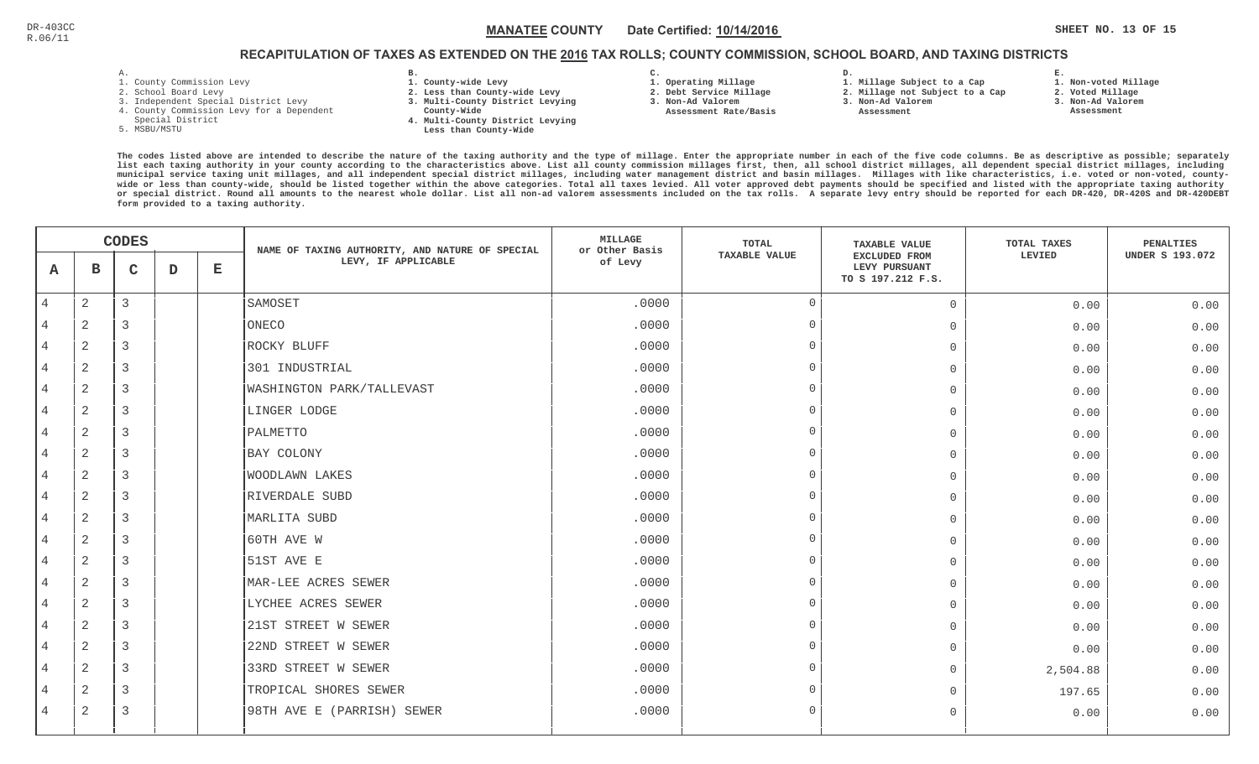## RECAPITULATION OF TAXES AS EXTENDED ON THE <u>2016</u> TAX ROLLS; COUNTY COMMISSION, SCHOOL BOARD, AND TAXING DISTRICTS

- 1. County Commission Levy
- 2. School Board Levy
- 3. Independent Special District Levy
- 4. County Commission Levy for a Dependent
- Special District
- 5. MSBU/MSTU
- **B. 1. County-wide Levy**
- **2. Less than County-wide Levy**
- **3. Multi-County District Levying**
- **County-Wide** 
	- **4. Multi-County District Levying Less than County-Wide**

**C.** 

**3. Non-Ad Valorem Assessment Rate/Basis**

- **1. Operating Millage 2. Debt Service Millage**
- **1. Millage Subject to a Cap**

**D.** 

- **2. Millage not Subject to a Cap**
- **3. Non-Ad Valorem**
	- **Assessment**

**1. Non-voted Millage**

**E.**

- **2. Voted Millage**
- **3. Non-Ad Valorem**
- **Assessment**

|                | <b>CODES</b>   |   |             | NAME OF TAXING AUTHORITY, AND NATURE OF SPECIAL | MILLAGE<br>or Other Basis        | <b>TOTAL</b>                    | <b>TAXABLE VALUE</b> | TOTAL TAXES                                                | PENALTIES |                        |
|----------------|----------------|---|-------------|-------------------------------------------------|----------------------------------|---------------------------------|----------------------|------------------------------------------------------------|-----------|------------------------|
| A              | в              | C | $\mathbf D$ | Е                                               | LEVY, IF APPLICABLE              | <b>TAXABLE VALUE</b><br>of Levy |                      | <b>EXCLUDED FROM</b><br>LEVY PURSUANT<br>TO S 197.212 F.S. | LEVIED    | <b>UNDER S 193.072</b> |
| $\overline{4}$ | $\sqrt{2}$     | 3 |             |                                                 | SAMOSET                          | .0000                           | $\overline{0}$       | $\mathbf 0$                                                | 0.00      | 0.00                   |
| 4              | $\overline{2}$ | 3 |             |                                                 | ONECO                            | .0000                           | $\Omega$             | $\mathbf 0$                                                | 0.00      | 0.00                   |
| 4              | $\overline{2}$ | 3 |             |                                                 | ROCKY BLUFF                      | .0000                           | $\Omega$             | $\circ$                                                    | 0.00      | 0.00                   |
| $\overline{4}$ | 2              | 3 |             |                                                 | 301 INDUSTRIAL                   | .0000                           | $\Omega$             | $\Omega$                                                   | 0.00      | 0.00                   |
| $\overline{4}$ | 2              | 3 |             |                                                 | <b>WASHINGTON PARK/TALLEVAST</b> | .0000                           | $\Omega$             | $\mathbf 0$                                                | 0.00      | 0.00                   |
| $\overline{4}$ | $\overline{2}$ | 3 |             |                                                 | LINGER LODGE                     | .0000                           | $\Omega$             | $\mathbf 0$                                                | 0.00      | 0.00                   |
| 4              | 2              | 3 |             |                                                 | PALMETTO                         | .0000                           | $\Omega$             | $\Omega$                                                   | 0.00      | 0.00                   |
| $\overline{4}$ | 2              | 3 |             |                                                 | BAY COLONY                       | .0000                           | $\cap$               | $\mathbf 0$                                                | 0.00      | 0.00                   |
| 4              | $\overline{2}$ | 3 |             |                                                 | <b>WOODLAWN LAKES</b>            | .0000                           | $\Omega$             | $\overline{0}$                                             | 0.00      | 0.00                   |
| 4              | $\overline{2}$ | 3 |             |                                                 | RIVERDALE SUBD                   | .0000                           | $\Omega$             | $\mathbf 0$                                                | 0.00      | 0.00                   |
| 4              | $\sqrt{2}$     | 3 |             |                                                 | MARLITA SUBD                     | .0000                           | $\cap$               | $\mathbf 0$                                                | 0.00      | 0.00                   |
| $\overline{4}$ | 2              | 3 |             |                                                 | 60TH AVE W                       | .0000                           | $\Omega$             | $\Omega$                                                   | 0.00      | 0.00                   |
| $\overline{4}$ | 2              | 3 |             |                                                 | 51ST AVE E                       | .0000                           | $\Omega$             | $\mathbf 0$                                                | 0.00      | 0.00                   |
| 4              | 2              | 3 |             |                                                 | MAR-LEE ACRES SEWER              | .0000                           | $\Omega$             | $\Omega$                                                   | 0.00      | 0.00                   |
| 4              | 2              | 3 |             |                                                 | LYCHEE ACRES SEWER               | .0000                           | $\Omega$             | $\mathbf 0$                                                | 0.00      | 0.00                   |
|                | $\overline{2}$ | 3 |             |                                                 | 21ST STREET W SEWER              | .0000                           | $\cap$               | $\overline{0}$                                             | 0.00      | 0.00                   |
| 4              | $\overline{2}$ | 3 |             |                                                 | 22ND STREET W SEWER              | .0000                           | $\Omega$             | $\overline{0}$                                             | 0.00      | 0.00                   |
| 4              | 2              | 3 |             |                                                 | 33RD STREET W SEWER              | .0000                           | $\cap$               | $\mathbf{0}$                                               | 2,504.88  | 0.00                   |
| $\overline{4}$ | 2              | 3 |             |                                                 | TROPICAL SHORES SEWER            | .0000                           | $\Omega$             | $\Omega$                                                   | 197.65    | 0.00                   |
| 4              | 2              | 3 |             |                                                 | 98TH AVE E (PARRISH) SEWER       | .0000                           | $\Omega$             | $\mathbf 0$                                                | 0.00      | 0.00                   |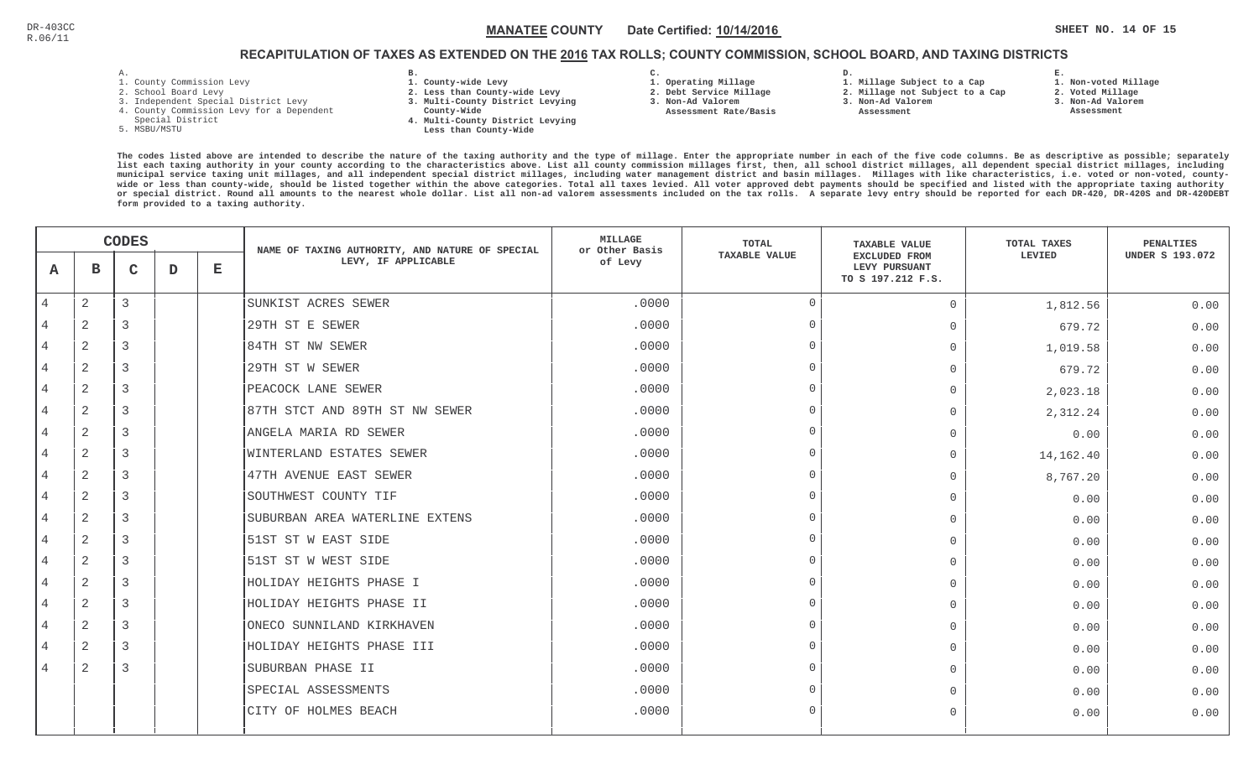## RECAPITULATION OF TAXES AS EXTENDED ON THE <u>2016</u> TAX ROLLS; COUNTY COMMISSION, SCHOOL BOARD, AND TAXING DISTRICTS

- 1. County Commission Levy
- 2. School Board Levy
- 3. Independent Special District Levy
- 4. County Commission Levy for a Dependent
- Special District
- 5. MSBU/MSTU
- **B. 1. County-wide Levy**
- **2. Less than County-wide Levy**
- **3. Multi-County District Levying**
- **County-Wide** 
	- **4. Multi-County District Levying Less than County-Wide**
- **C. 3. Non-Ad Valorem**

**2. Debt Service Millage** 

 **Assessment Rate/Basis**

- **1. Operating Millage**
- **1. Millage Subject to a Cap**

**D.** 

- **2. Millage not Subject to a Cap**
- **3. Non-Ad Valorem**
	- **Assessment**

**1. Non-voted Millage**

**E.**

- **2. Voted Millage**
- **3. Non-Ad Valorem**
- **Assessment**

|                | <b>CODES</b>   |              |   | NAME OF TAXING AUTHORITY, AND NATURE OF SPECIAL | MILLAGE<br>or Other Basis       | <b>TOTAL</b>                    | <b>TAXABLE VALUE</b> | TOTAL TAXES                                         | <b>PENALTIES</b> |                        |
|----------------|----------------|--------------|---|-------------------------------------------------|---------------------------------|---------------------------------|----------------------|-----------------------------------------------------|------------------|------------------------|
| A              | в              | $\mathsf{C}$ | D | $\mathbf E$                                     | LEVY, IF APPLICABLE             | <b>TAXABLE VALUE</b><br>of Levy |                      | EXCLUDED FROM<br>LEVY PURSUANT<br>TO S 197.212 F.S. | LEVIED           | <b>UNDER S 193.072</b> |
| $\overline{4}$ | $\mathbf{2}$   | 3            |   |                                                 | SUNKIST ACRES SEWER             | .0000                           | $\Omega$             | $\mathbf{0}$                                        | 1,812.56         | 0.00                   |
|                | $\overline{2}$ | 3            |   |                                                 | 29TH ST E SEWER                 | .0000                           | $\cap$               | $\mathbf{0}$                                        | 679.72           | 0.00                   |
| 4              | 2              | 3            |   |                                                 | 84TH ST NW SEWER                | .0000                           | $\bigcap$            | $\mathbf{0}$                                        | 1,019.58         | 0.00                   |
| 4              | 2              | 3            |   |                                                 | 29TH ST W SEWER                 | .0000                           | $\Omega$             | $\Omega$                                            | 679.72           | 0.00                   |
| $\overline{4}$ | $\overline{2}$ | 3            |   |                                                 | PEACOCK LANE SEWER              | .0000                           | $\Omega$             | $\mathbf 0$                                         | 2,023.18         | 0.00                   |
| 4              | $\overline{2}$ | 3            |   |                                                 | 87TH STCT AND 89TH ST NW SEWER  | .0000                           | $\Omega$             | $\Omega$                                            | 2,312.24         | 0.00                   |
| 4              | 2              | 3            |   |                                                 | ANGELA MARIA RD SEWER           | .0000                           | $\Omega$             | $\mathbf{0}$                                        | 0.00             | 0.00                   |
| 4              | 2              | 3            |   |                                                 | <b>WINTERLAND ESTATES SEWER</b> | .0000                           | $\cap$               | $\Omega$                                            | 14,162.40        | 0.00                   |
| 4              | $\overline{2}$ | 3            |   |                                                 | 47TH AVENUE EAST SEWER          | .0000                           | $\cap$               | $\mathbf{0}$                                        | 8,767.20         | 0.00                   |
| 4              | 2              | 3            |   |                                                 | SOUTHWEST COUNTY TIF            | .0000                           | $\cap$               | $\Omega$                                            | 0.00             | 0.00                   |
| 4              | 2              | 3            |   |                                                 | SUBURBAN AREA WATERLINE EXTENS  | .0000                           | $\cap$               | $\Omega$                                            | 0.00             | 0.00                   |
| 4              | $\overline{2}$ | 3            |   |                                                 | 51ST ST W EAST SIDE             | .0000                           | $\Omega$             | $\Omega$                                            | 0.00             | 0.00                   |
| 4              | 2              | 3            |   |                                                 | 51ST ST W WEST SIDE             | .0000                           | $\cap$               | $\mathbf 0$                                         | 0.00             | 0.00                   |
| 4              | $\overline{2}$ | 3            |   |                                                 | HOLIDAY HEIGHTS PHASE I         | .0000                           | $\cap$               | $\mathbf{0}$                                        | 0.00             | 0.00                   |
| 4              | 2              | 3            |   |                                                 | HOLIDAY HEIGHTS PHASE II        | .0000                           | $\cap$               | $\mathbf{0}$                                        | 0.00             | 0.00                   |
| 4              | $\overline{2}$ | 3            |   |                                                 | ONECO SUNNILAND KIRKHAVEN       | .0000                           | $\cap$               | $\overline{0}$                                      | 0.00             | 0.00                   |
| 4              | 2              | 3            |   |                                                 | HOLIDAY HEIGHTS PHASE III       | .0000                           | $\Omega$             | $\Omega$                                            | 0.00             | 0.00                   |
| 4              | 2              | 3            |   |                                                 | SUBURBAN PHASE II               | .0000                           | $\cap$               | $\Omega$                                            | 0.00             | 0.00                   |
|                |                |              |   |                                                 | SPECIAL ASSESSMENTS             | .0000                           | $\Omega$             | $\Omega$                                            | 0.00             | 0.00                   |
|                |                |              |   |                                                 | CITY OF HOLMES BEACH            | .0000                           | $\cap$               | $\Omega$                                            | 0.00             | 0.00                   |